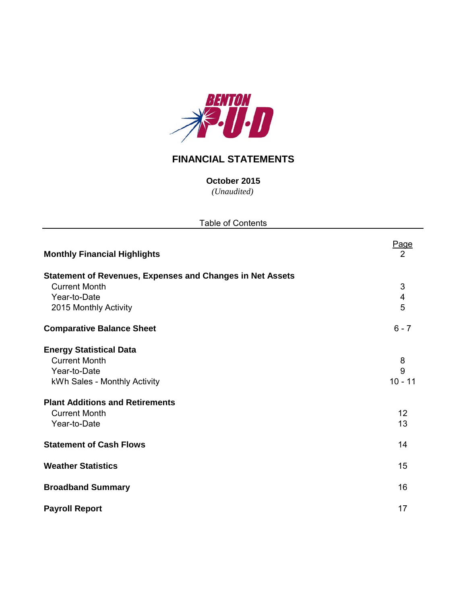

# **FINANCIAL STATEMENTS**

*(Unaudited)* **October 2015**

| <b>Table of Contents</b>                                         |                               |  |  |  |  |  |  |
|------------------------------------------------------------------|-------------------------------|--|--|--|--|--|--|
| <b>Monthly Financial Highlights</b>                              | <u>Page</u><br>$\overline{2}$ |  |  |  |  |  |  |
| <b>Statement of Revenues, Expenses and Changes in Net Assets</b> |                               |  |  |  |  |  |  |
| <b>Current Month</b>                                             | 3                             |  |  |  |  |  |  |
| Year-to-Date                                                     | $\overline{4}$                |  |  |  |  |  |  |
| 2015 Monthly Activity                                            | 5                             |  |  |  |  |  |  |
| <b>Comparative Balance Sheet</b>                                 | $6 - 7$                       |  |  |  |  |  |  |
| <b>Energy Statistical Data</b>                                   |                               |  |  |  |  |  |  |
| <b>Current Month</b>                                             | 8                             |  |  |  |  |  |  |
| Year-to-Date                                                     | 9                             |  |  |  |  |  |  |
| kWh Sales - Monthly Activity                                     | $10 - 11$                     |  |  |  |  |  |  |
| <b>Plant Additions and Retirements</b>                           |                               |  |  |  |  |  |  |
| <b>Current Month</b>                                             | 12                            |  |  |  |  |  |  |
| Year-to-Date                                                     | 13                            |  |  |  |  |  |  |
| <b>Statement of Cash Flows</b>                                   | 14                            |  |  |  |  |  |  |
| <b>Weather Statistics</b>                                        | 15                            |  |  |  |  |  |  |
| <b>Broadband Summary</b>                                         | 16                            |  |  |  |  |  |  |
| <b>Payroll Report</b>                                            | 17                            |  |  |  |  |  |  |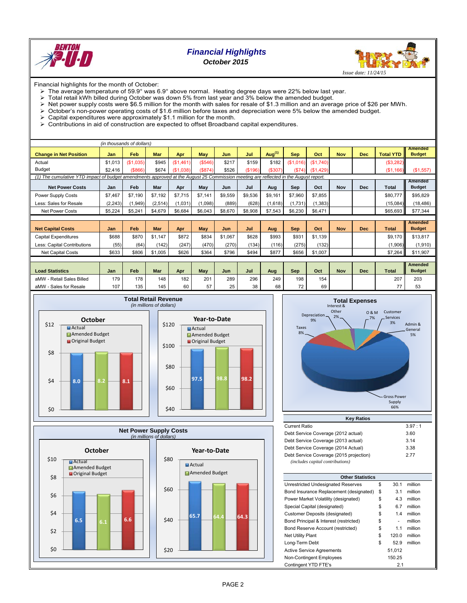

## *Financial Highlights October 2015*



Financial highlights for the month of October:

- The average temperature of 59.9° was 6.9° above normal. Heating degree days were 22% below last year.
- $\triangleright$  Total retail kWh billed during October was down 5% from last year and 3% below the amended budget.<br>  $\triangleright$  Net power supply costs were \$6.5 million for the month with sales for resale of \$1.3 million and an averal
- 
- $\triangleright$  Net power supply costs were \$6.5 million for the month with sales for resale of \$1.3 million and an average price of \$26 per MWh.<br>  $\triangleright$  October's non-power operating costs of \$1.6 million before taxes and depreci  $\geq$  October's non-power operating costs of \$1.6 million before taxes and depreciation were 5% below the amended budget.<br>  $\geq$  Capital expenditures were approximately \$1.1 million for the month.
- Capital expenditures were approximately \$1.1 million for the month.
- $\triangleright$  Contributions in aid of construction are expected to offset Broadband capital expenditures.

|                                                                                                                                     |          | (in thousands of dollars) |            |           |            |         |         |           |            |           |            |            |                  |                                 |
|-------------------------------------------------------------------------------------------------------------------------------------|----------|---------------------------|------------|-----------|------------|---------|---------|-----------|------------|-----------|------------|------------|------------------|---------------------------------|
| <b>Change in Net Position</b>                                                                                                       | Jan      | <b>Feb</b>                | <b>Mar</b> | Apr       | May        | Jun     | Jul     | Aug $(1)$ | <b>Sep</b> | Oct       | <b>Nov</b> | <b>Dec</b> | <b>Total YTD</b> | <b>Amended</b><br><b>Budget</b> |
| Actual                                                                                                                              | \$1,013  | (\$1,035)                 | \$945      | (\$1,461) | (\$546)    | \$217   | \$159   | \$182     | (\$1,016)  | (\$1,740) |            |            | (\$3,282)        |                                 |
| <b>Budget</b>                                                                                                                       | \$2,416  | ( \$866)                  | \$674      | (S1.038)  | (S874)     | \$526   | (\$196) | (\$307)   | (S74)      | (\$1,429) |            |            | (S1, 166)        | (\$1,557)                       |
| (1) The cumulative YTD impact of budget amendments approved at the August 25 Commission meeting are reflected in the August report. |          |                           |            |           |            |         |         |           |            |           |            |            |                  |                                 |
| <b>Net Power Costs</b>                                                                                                              | Jan      | Feb                       | Mar        | Apr       | May        | Jun     | Jul     | Aug       | Sep        | Oct       | Nov        | <b>Dec</b> | Total            | Amended<br><b>Budget</b>        |
| <b>Power Supply Costs</b>                                                                                                           | \$7,467  | \$7,190                   | \$7,192    | \$7,715   | \$7.141    | \$9,559 | \$9,536 | \$9,161   | \$7,960    | \$7,855   |            |            | \$80,777         | \$95,829                        |
| Less: Sales for Resale                                                                                                              | (2, 243) | (1,949)                   | (2,514)    | (1,031)   | (1,098)    | (889)   | (628)   | (1,618)   | (1,731)    | (1, 383)  |            |            | (15,084)         | (18, 486)                       |
| <b>Net Power Costs</b>                                                                                                              | \$5,224  | \$5,241                   | \$4,679    | \$6,684   | \$6,043    | \$8,670 | \$8,908 | \$7,543   | \$6,230    | \$6,471   |            |            | \$65,693         | \$77,344                        |
|                                                                                                                                     |          |                           |            |           |            |         |         |           |            |           |            |            |                  |                                 |
| <b>Net Capital Costs</b>                                                                                                            | Jan      | Feb                       | Mar        | Apr       | <b>May</b> | Jun     | Jul     | Aug       | <b>Sep</b> | Oct       | <b>Nov</b> | <b>Dec</b> | <b>Total</b>     | <b>Amended</b><br><b>Budget</b> |
| <b>Capital Expenditures</b>                                                                                                         | \$688    | \$870                     | \$1.147    | \$872     | \$834      | \$1,067 | \$628   | \$993     | \$931      | \$1,139   |            |            | \$9.170          | \$13,817                        |
| Less: Capital Contributions                                                                                                         | (55)     | (64)                      | (142)      | (247)     | (470)      | (270)   | (134)   | (116)     | (275)      | (132)     |            |            | (1,906)          | (1,910)                         |
| <b>Net Capital Costs</b>                                                                                                            | \$633    | \$806                     | \$1,005    | \$626     | \$364      | \$796   | \$494   | \$877     | \$656      | \$1,007   |            |            | \$7,264          | \$11,907                        |
|                                                                                                                                     |          |                           |            |           |            |         |         |           |            |           |            |            |                  |                                 |
| <b>Load Statistics</b>                                                                                                              | Jan      | Feb                       | Mar        | Apr       | May        | Jun     | Jul     | Aug       | <b>Sep</b> | Oct       | <b>Nov</b> | <b>Dec</b> | <b>Total</b>     | <b>Amended</b><br><b>Budget</b> |
| aMW - Retail Sales Billed                                                                                                           | 179      | 178                       | 148        | 182       | 201        | 289     | 296     | 249       | 198        | 154       |            |            | 207              | 203                             |







| <b>Key Ratios</b>                       |        |  |  |  |  |  |  |  |  |  |
|-----------------------------------------|--------|--|--|--|--|--|--|--|--|--|
| <b>Current Ratio</b>                    | 3.97:1 |  |  |  |  |  |  |  |  |  |
| Debt Service Coverage (2012 actual)     | 3.60   |  |  |  |  |  |  |  |  |  |
| Debt Service Coverage (2013 actual)     | 3.14   |  |  |  |  |  |  |  |  |  |
| Debt Service Coverage (2014 Actual)     | 3.38   |  |  |  |  |  |  |  |  |  |
| Debt Service Coverage (2015 projection) | 277    |  |  |  |  |  |  |  |  |  |
| (includes capital contributions)        |        |  |  |  |  |  |  |  |  |  |

| <b>Other Statistics</b>                 |    |        |         |  |  |  |  |  |  |  |
|-----------------------------------------|----|--------|---------|--|--|--|--|--|--|--|
| Unrestricted Undesignated Reserves      | \$ | 30.1   | million |  |  |  |  |  |  |  |
| Bond Insurance Replacement (designated) | \$ | 3.1    | million |  |  |  |  |  |  |  |
| Power Market Volatility (designated)    | \$ | 4.3    | million |  |  |  |  |  |  |  |
|                                         |    |        |         |  |  |  |  |  |  |  |
| Special Capital (designated)            | \$ | 6.7    | million |  |  |  |  |  |  |  |
| Customer Deposits (designated)          | \$ | 1.4    | million |  |  |  |  |  |  |  |
| Bond Principal & Interest (restricted)  | \$ |        | million |  |  |  |  |  |  |  |
| Bond Reserve Account (restricted)       | \$ | 1.1    | million |  |  |  |  |  |  |  |
| <b>Net Utility Plant</b>                | \$ | 120.0  | million |  |  |  |  |  |  |  |
| Long-Term Debt                          | \$ | 52.9   | million |  |  |  |  |  |  |  |
| <b>Active Service Agreements</b>        |    | 51.012 |         |  |  |  |  |  |  |  |
| Non-Contingent Employees                |    | 150.25 |         |  |  |  |  |  |  |  |
| Contingent YTD FTE's                    |    | 2.1    |         |  |  |  |  |  |  |  |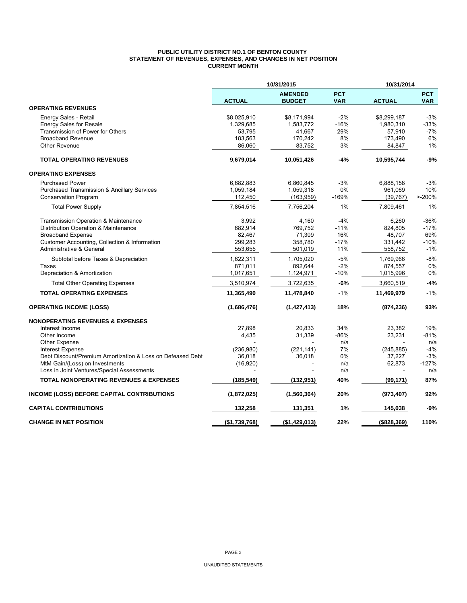#### **PUBLIC UTILITY DISTRICT NO.1 OF BENTON COUNTY STATEMENT OF REVENUES, EXPENSES, AND CHANGES IN NET POSITION CURRENT MONTH**

|                                                            | 10/31/2015    |                                 | 10/31/2014               |               |                          |
|------------------------------------------------------------|---------------|---------------------------------|--------------------------|---------------|--------------------------|
|                                                            | <b>ACTUAL</b> | <b>AMENDED</b><br><b>BUDGET</b> | <b>PCT</b><br><b>VAR</b> | <b>ACTUAL</b> | <b>PCT</b><br><b>VAR</b> |
| <b>OPERATING REVENUES</b>                                  |               |                                 |                          |               |                          |
| Energy Sales - Retail                                      | \$8,025,910   | \$8,171,994                     | $-2%$                    | \$8,299,187   | $-3%$                    |
| <b>Energy Sales for Resale</b>                             | 1,329,685     | 1,583,772                       | -16%                     | 1,980,310     | -33%                     |
| Transmission of Power for Others                           | 53,795        | 41,667                          | 29%                      | 57,910        | $-7%$                    |
| <b>Broadband Revenue</b>                                   | 183,563       | 170,242                         | 8%                       | 173,490       | 6%                       |
| <b>Other Revenue</b>                                       | 86,060        | 83,752                          | 3%                       | 84,847        | 1%                       |
| <b>TOTAL OPERATING REVENUES</b>                            | 9,679,014     | 10,051,426                      | $-4%$                    | 10,595,744    | $-9%$                    |
| <b>OPERATING EXPENSES</b>                                  |               |                                 |                          |               |                          |
| <b>Purchased Power</b>                                     | 6,682,883     | 6,860,845                       | $-3%$                    | 6,888,158     | $-3%$                    |
| Purchased Transmission & Ancillary Services                | 1,059,184     | 1,059,318                       | 0%                       | 961,069       | 10%                      |
| <b>Conservation Program</b>                                | 112,450       | (163, 959)                      | $-169%$                  | (39, 767)     | $> -200%$                |
| <b>Total Power Supply</b>                                  | 7,854,516     | 7,756,204                       | 1%                       | 7,809,461     | 1%                       |
| Transmission Operation & Maintenance                       | 3,992         | 4,160                           | $-4%$                    | 6,260         | $-36%$                   |
| Distribution Operation & Maintenance                       | 682,914       | 769,752                         | $-11%$                   | 824,805       | $-17%$                   |
| <b>Broadband Expense</b>                                   | 82,467        | 71,309                          | 16%                      | 48,707        | 69%                      |
| Customer Accounting, Collection & Information              | 299,283       | 358,780                         | $-17%$                   | 331,442       | $-10%$                   |
| Administrative & General                                   | 553,655       | 501,019                         | 11%                      | 558,752       | $-1%$                    |
| Subtotal before Taxes & Depreciation                       | 1,622,311     | 1,705,020                       | $-5%$                    | 1.769.966     | $-8%$                    |
| Taxes                                                      | 871,011       | 892,644                         | $-2%$                    | 874,557       | 0%                       |
| Depreciation & Amortization                                | 1,017,651     | 1,124,971                       | $-10%$                   | 1,015,996     | 0%                       |
| <b>Total Other Operating Expenses</b>                      | 3,510,974     | 3,722,635                       | $-6%$                    | 3,660,519     | $-4%$                    |
| <b>TOTAL OPERATING EXPENSES</b>                            | 11,365,490    | 11,478,840                      | $-1%$                    | 11,469,979    | $-1%$                    |
| <b>OPERATING INCOME (LOSS)</b>                             | (1,686,476)   | (1, 427, 413)                   | 18%                      | (874, 236)    | 93%                      |
| <b>NONOPERATING REVENUES &amp; EXPENSES</b>                |               |                                 |                          |               |                          |
| Interest Income                                            | 27,898        | 20,833                          | 34%                      | 23,382        | 19%                      |
| Other Income                                               | 4,435         | 31,339                          | $-86%$                   | 23,231        | $-81%$                   |
| Other Expense                                              |               |                                 | n/a                      |               | n/a                      |
| <b>Interest Expense</b>                                    | (236,980)     | (221, 141)                      | 7%                       | (245, 885)    | $-4%$                    |
| Debt Discount/Premium Amortization & Loss on Defeased Debt | 36,018        | 36,018                          | 0%                       | 37,227        | $-3%$                    |
| MtM Gain/(Loss) on Investments                             | (16, 920)     |                                 | n/a                      | 62,873        | $-127%$                  |
| Loss in Joint Ventures/Special Assessments                 |               |                                 | n/a                      |               | n/a                      |
| <b>TOTAL NONOPERATING REVENUES &amp; EXPENSES</b>          | (185, 549)    | (132, 951)                      | 40%                      | (99, 171)     | 87%                      |
| INCOME (LOSS) BEFORE CAPITAL CONTRIBUTIONS                 | (1,872,025)   | (1,560,364)                     | 20%                      | (973, 407)    | 92%                      |
| <b>CAPITAL CONTRIBUTIONS</b>                               | 132,258       | 131,351                         | 1%                       | 145,038       | -9%                      |
| <b>CHANGE IN NET POSITION</b>                              | (\$1,739,768) | (\$1,429,013)                   | 22%                      | ( \$828, 369) | 110%                     |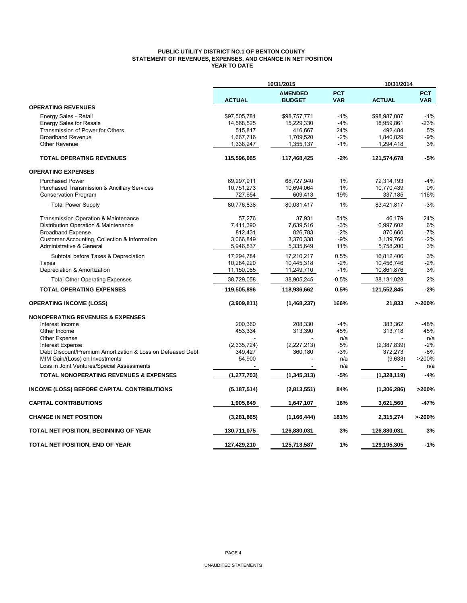### **PUBLIC UTILITY DISTRICT NO.1 OF BENTON COUNTY STATEMENT OF REVENUES, EXPENSES, AND CHANGE IN NET POSITION YEAR TO DATE**

|                                                            | 10/31/2015    |                                 |                          | 10/31/2014    |                          |  |
|------------------------------------------------------------|---------------|---------------------------------|--------------------------|---------------|--------------------------|--|
|                                                            | <b>ACTUAL</b> | <b>AMENDED</b><br><b>BUDGET</b> | <b>PCT</b><br><b>VAR</b> | <b>ACTUAL</b> | <b>PCT</b><br><b>VAR</b> |  |
| <b>OPERATING REVENUES</b>                                  |               |                                 |                          |               |                          |  |
| Energy Sales - Retail                                      | \$97,505,781  | \$98,757,771                    | $-1%$                    | \$98,987,087  | $-1%$                    |  |
| <b>Energy Sales for Resale</b>                             | 14,568,525    | 15,229,330                      | $-4%$                    | 18,959,861    | -23%                     |  |
| Transmission of Power for Others                           | 515,817       | 416.667                         | 24%                      | 492,484       | 5%                       |  |
| <b>Broadband Revenue</b>                                   | 1,667,716     | 1,709,520                       | $-2%$                    | 1,840,829     | $-9%$                    |  |
| <b>Other Revenue</b>                                       | 1,338,247     | 1,355,137                       | $-1%$                    | 1,294,418     | 3%                       |  |
| <b>TOTAL OPERATING REVENUES</b>                            | 115,596,085   | 117,468,425                     | $-2%$                    | 121,574,678   | $-5%$                    |  |
| <b>OPERATING EXPENSES</b>                                  |               |                                 |                          |               |                          |  |
| <b>Purchased Power</b>                                     | 69,297,911    | 68,727,940                      | 1%                       | 72,314,193    | $-4%$                    |  |
| Purchased Transmission & Ancillary Services                | 10,751,273    | 10,694,064                      | 1%                       | 10,770,439    | 0%                       |  |
| <b>Conservation Program</b>                                | 727,654       | 609,413                         | 19%                      | 337,185       | 116%                     |  |
| <b>Total Power Supply</b>                                  | 80,776,838    | 80,031,417                      | 1%                       | 83,421,817    | $-3%$                    |  |
| Transmission Operation & Maintenance                       | 57,276        | 37,931                          | 51%                      | 46,179        | 24%                      |  |
| Distribution Operation & Maintenance                       | 7,411,390     | 7,639,516                       | $-3%$                    | 6,997,602     | 6%                       |  |
| <b>Broadband Expense</b>                                   | 812,431       | 826,783                         | $-2%$                    | 870,660       | $-7%$                    |  |
| Customer Accounting, Collection & Information              | 3,066,849     | 3,370,338                       | $-9%$                    | 3,139,766     | $-2%$                    |  |
| Administrative & General                                   | 5,946,837     | 5,335,649                       | 11%                      | 5,758,200     | 3%                       |  |
| Subtotal before Taxes & Depreciation                       | 17,294,784    | 17,210,217                      | 0.5%                     | 16,812,406    | 3%                       |  |
| Taxes                                                      | 10,284,220    | 10,445,318                      | $-2%$                    | 10,456,746    | $-2%$                    |  |
| Depreciation & Amortization                                | 11,150,055    | 11,249,710                      | $-1%$                    | 10,861,876    | 3%                       |  |
| <b>Total Other Operating Expenses</b>                      | 38,729,058    | 38,905,245                      | $-0.5%$                  | 38,131,028    | 2%                       |  |
| <b>TOTAL OPERATING EXPENSES</b>                            | 119,505,896   | 118,936,662                     | 0.5%                     | 121,552,845   | $-2%$                    |  |
| <b>OPERATING INCOME (LOSS)</b>                             | (3,909,811)   | (1,468,237)                     | 166%                     | 21,833        | >200%                    |  |
| <b>NONOPERATING REVENUES &amp; EXPENSES</b>                |               |                                 |                          |               |                          |  |
| Interest Income                                            | 200,360       | 208,330                         | $-4%$                    | 383,362       | -48%                     |  |
| Other Income                                               | 453,334       | 313,390                         | 45%                      | 313,718       | 45%                      |  |
| <b>Other Expense</b>                                       |               |                                 | n/a                      |               | n/a                      |  |
| <b>Interest Expense</b>                                    | (2,335,724)   | (2,227,213)                     | 5%                       | (2,387,839)   | $-2%$                    |  |
| Debt Discount/Premium Amortization & Loss on Defeased Debt | 349,427       | 360,180                         | $-3%$                    | 372,273       | $-6%$                    |  |
| MtM Gain/(Loss) on Investments                             | 54,900        |                                 | n/a                      | (9,633)       | >200%                    |  |
| Loss in Joint Ventures/Special Assessments                 |               |                                 | n/a                      |               | n/a                      |  |
| <b>TOTAL NONOPERATING REVENUES &amp; EXPENSES</b>          | (1, 277, 703) | (1, 345, 313)                   | $-5%$                    | (1,328,119)   | $-4%$                    |  |
| <b>INCOME (LOSS) BEFORE CAPITAL CONTRIBUTIONS</b>          | (5, 187, 514) | (2,813,551)                     | 84%                      | (1,306,286)   | >200%                    |  |
| <b>CAPITAL CONTRIBUTIONS</b>                               | 1,905,649     | 1,647,107                       | 16%                      | 3,621,560     | -47%                     |  |
| <b>CHANGE IN NET POSITION</b>                              | (3,281,865)   | (1, 166, 444)                   | 181%                     | 2,315,274     | >200%                    |  |
| TOTAL NET POSITION, BEGINNING OF YEAR                      | 130,711,075   | 126,880,031                     | 3%                       | 126,880,031   | 3%                       |  |
| TOTAL NET POSITION, END OF YEAR                            | 127.429.210   | 125,713,587                     | 1%                       | 129,195,305   | $-1%$                    |  |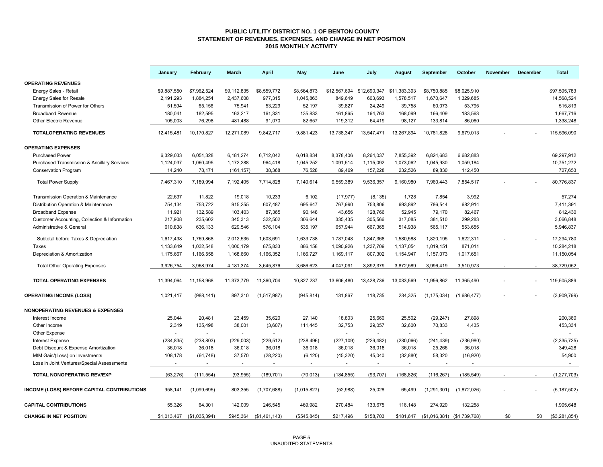#### **PUBLIC UTILITY DISTRICT NO. 1 OF BENTON COUNTY STATEMENT OF REVENUES, EXPENSES, AND CHANGE IN NET POSITION 2015 MONTHLY ACTIVITY**

|                                                        | January     | February      | March       | April                    | May          | June                      | July       | August         | September                             | October     | <b>November</b> | December | <b>Total</b>  |
|--------------------------------------------------------|-------------|---------------|-------------|--------------------------|--------------|---------------------------|------------|----------------|---------------------------------------|-------------|-----------------|----------|---------------|
| <b>OPERATING REVENUES</b>                              |             |               |             |                          |              |                           |            |                |                                       |             |                 |          |               |
| Energy Sales - Retail                                  | \$9,887,550 | \$7,962,524   | \$9,112,835 | \$8,559,772              | \$8,564,873  | \$12,567,694 \$12,690,347 |            | \$11,383,393   | \$8,750,885                           | \$8,025,910 |                 |          | \$97,505,783  |
| <b>Energy Sales for Resale</b>                         | 2,191,293   | 1,884,254     | 2,437,608   | 977,315                  | 1,045,863    | 849,649                   | 603,693    | 1,578,517      | 1,670,647                             | 1,329,685   |                 |          | 14,568,524    |
| Transmission of Power for Others                       | 51,594      | 65,156        | 75,941      | 53,229                   | 52,197       | 39,827                    | 24,249     | 39,758         | 60,073                                | 53,795      |                 |          | 515,819       |
| <b>Broadband Revenue</b>                               | 180,041     | 182,595       | 163,217     | 161,331                  | 135,833      | 161,865                   | 164,763    | 168,099        | 166,409                               | 183,563     |                 |          | 1,667,716     |
| Other Electric Revenue                                 | 105,003     | 76,298        | 481,488     | 91,070                   | 82,657       | 119,312                   | 64,419     | 98,127         | 133,814                               | 86,060      |                 |          | 1,338,248     |
| <b>TOTALOPERATING REVENUES</b>                         | 12,415,481  | 10,170,827    | 12,271,089  | 9,842,717                | 9,881,423    | 13,738,347                | 13,547,471 | 13,267,894     | 10,781,828                            | 9,679,013   |                 |          | 115,596,090   |
| <b>OPERATING EXPENSES</b>                              |             |               |             |                          |              |                           |            |                |                                       |             |                 |          |               |
| <b>Purchased Power</b>                                 | 6,329,033   | 6,051,328     | 6,181,274   | 6,712,042                | 6,018,834    | 8,378,406                 | 8,264,037  | 7,855,392      | 6.824.683                             | 6,682,883   |                 |          | 69,297,912    |
| <b>Purchased Transmission &amp; Ancillary Services</b> | 1,124,037   | 1,060,495     | 1,172,288   | 964,418                  | 1,045,252    | 1,091,514                 | 1,115,092  | 1,073,062      | 1,045,930                             | 1,059,184   |                 |          | 10,751,272    |
| <b>Conservation Program</b>                            | 14,240      | 78,171        | (161, 157)  | 38,368                   | 76,528       | 89,469                    | 157,228    | 232,526        | 89,830                                | 112,450     |                 |          | 727,653       |
| <b>Total Power Supply</b>                              | 7,467,310   | 7,189,994     | 7,192,405   | 7,714,828                | 7,140,614    | 9,559,389                 | 9,536,357  | 9,160,980      | 7,960,443                             | 7,854,517   |                 |          | 80,776,837    |
| Transmission Operation & Maintenance                   | 22,637      | 11,822        | 19,018      | 10,233                   | 6,102        | (17, 977)                 | (8, 135)   | 1,728          | 7,854                                 | 3,992       |                 |          | 57,274        |
| Distribution Operation & Maintenance                   | 754,134     | 753,722       | 915,255     | 607,487                  | 695,647      | 767,990                   | 753,806    | 693,892        | 786,544                               | 682,914     |                 |          | 7,411,391     |
| <b>Broadband Expense</b>                               | 11,921      | 132,589       | 103,403     | 87,365                   | 90,148       | 43,656                    | 128,766    | 52,945         | 79,170                                | 82,467      |                 |          | 812,430       |
| Customer Accounting, Collection & Information          | 217,908     | 235,602       | 345,313     | 322,502                  | 306,644      | 335,435                   | 305,566    | 317,085        | 381,510                               | 299,283     |                 |          | 3,066,848     |
| Administrative & General                               | 610,838     | 636,133       | 629,546     | 576,104                  | 535,197      | 657,944                   | 667,365    | 514,938        | 565,117                               | 553,655     |                 |          | 5,946,837     |
| Subtotal before Taxes & Depreciation                   | 1,617,438   | 1,769,868     | 2,012,535   | 1,603,691                | 1,633,738    | 1,787,048                 | 1,847,368  | 1,580,588      | 1,820,195                             | 1,622,311   |                 |          | 17,294,780    |
| Taxes                                                  | 1,133,649   | 1,032,548     | 1,000,179   | 875,833                  | 886,158      | 1,090,926                 | 1,237,709  | 1,137,054      | 1,019,151                             | 871,011     |                 |          | 10,284,218    |
| Depreciation & Amortization                            | 1.175.667   | 1,166,558     | 1,168,660   | 1,166,352                | 1,166,727    | 1,169,117                 | 807,302    | 1,154,947      | 1,157,073                             | 1,017,651   |                 |          | 11,150,054    |
| <b>Total Other Operating Expenses</b>                  | 3,926,754   | 3,968,974     | 4,181,374   | 3,645,876                | 3,686,623    | 4,047,091                 | 3,892,379  | 3,872,589      | 3,996,419                             | 3,510,973   |                 |          | 38,729,052    |
| <b>TOTAL OPERATING EXPENSES</b>                        | 11,394,064  | 11,158,968    | 11,373,779  | 11,360,704               | 10,827,237   | 13,606,480                | 13,428,736 | 13,033,569     | 11,956,862                            | 11,365,490  |                 |          | 119,505,889   |
| <b>OPERATING INCOME (LOSS)</b>                         | 1,021,417   | (988, 141)    | 897,310     | (1,517,987)              | (945, 814)   | 131,867                   | 118,735    | 234,325        | (1, 175, 034)                         | (1,686,477) |                 |          | (3,909,799)   |
| <b>NONOPERATING REVENUES &amp; EXPENSES</b>            |             |               |             |                          |              |                           |            |                |                                       |             |                 |          |               |
| Interest Income                                        | 25,044      | 20,481        | 23,459      | 35,620                   | 27,140       | 18,803                    | 25,660     | 25,502         | (29, 247)                             | 27,898      |                 |          | 200,360       |
| Other Income                                           | 2,319       | 135,498       | 38,001      | (3,607)                  | 111,445      | 32,753                    | 29,057     | 32,600         | 70,833                                | 4,435       |                 |          | 453,334       |
| Other Expense                                          |             |               | $\sim$      | $\sim$                   |              | $\sim$                    | $\sim$     | $\overline{a}$ |                                       |             |                 |          |               |
| <b>Interest Expense</b>                                | (234, 835)  | (238, 803)    | (229,003)   | (229, 512)               | (238, 496)   | (227, 109)                | (229, 482) | (230, 066)     | (241, 439)                            | (236,980)   |                 |          | (2, 335, 725) |
| Debt Discount & Expense Amortization                   | 36,018      | 36,018        | 36,018      | 36,018                   | 36,018       | 36,018                    | 36,018     | 36,018         | 25,266                                | 36,018      |                 |          | 349,428       |
| MtM Gain/(Loss) on Investments                         | 108,178     | (64, 748)     | 37,570      | (28, 220)                | (6, 120)     | (45, 320)                 | 45,040     | (32, 880)      | 58,320                                | (16,920)    |                 |          | 54,900        |
| Loss in Joint Ventures/Special Assessments             | $\sim$      | $\sim$        | $\sim$      | $\overline{\phantom{a}}$ | $\sim$       | $\sim$                    | $\sim$     | $\sim$         | $\sim$                                | $\sim$      |                 |          | $\sim$        |
| <b>TOTAL NONOPERATING REV/EXP</b>                      | (63, 276)   | (111, 554)    | (93, 955)   | (189, 701)               | (70, 013)    | (184, 855)                | (93, 707)  | (168, 826)     | (116, 267)                            | (185, 549)  |                 |          | (1, 277, 703) |
| INCOME (LOSS) BEFORE CAPITAL CONTRIBUTIONS             | 958.141     | (1,099,695)   | 803,355     | (1,707,688)              | (1,015,827)  | (52,988)                  | 25,028     | 65,499         | (1,291,301)                           | (1,872,026) |                 |          | (5, 187, 502) |
| <b>CAPITAL CONTRIBUTIONS</b>                           | 55,326      | 64,301        | 142,009     | 246,545                  | 469,982      | 270,484                   | 133,675    | 116,148        | 274,920                               | 132,258     |                 |          | 1,905,648     |
| <b>CHANGE IN NET POSITION</b>                          | \$1,013,467 | (\$1,035,394) | \$945,364   | (\$1,461,143)            | (\$545, 845) | \$217,496                 | \$158,703  |                | \$181,647 (\$1,016,381) (\$1,739,768) |             | \$0             | \$0      | (\$3,281,854) |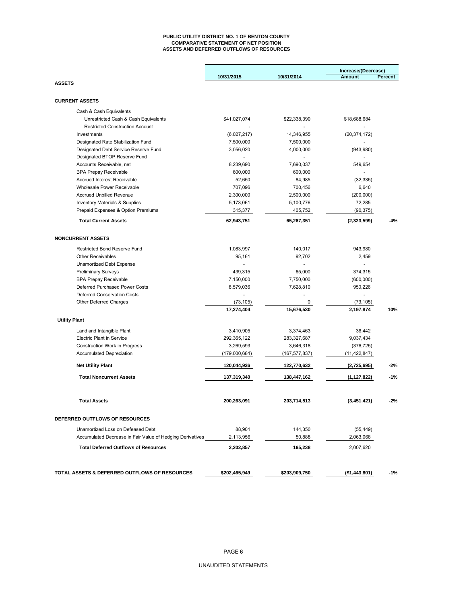#### **PUBLIC UTILITY DISTRICT NO. 1 OF BENTON COUNTY COMPARATIVE STATEMENT OF NET POSITION ASSETS AND DEFERRED OUTFLOWS OF RESOURCES**

|                                                           |               |                 | Increase/(Decrease) |         |  |
|-----------------------------------------------------------|---------------|-----------------|---------------------|---------|--|
|                                                           | 10/31/2015    | 10/31/2014      | Amount              | Percent |  |
| <b>ASSETS</b>                                             |               |                 |                     |         |  |
| <b>CURRENT ASSETS</b>                                     |               |                 |                     |         |  |
| Cash & Cash Equivalents                                   |               |                 |                     |         |  |
| Unrestricted Cash & Cash Equivalents                      | \$41,027,074  | \$22,338,390    | \$18,688,684        |         |  |
| <b>Restricted Construction Account</b>                    |               |                 |                     |         |  |
| Investments                                               | (6,027,217)   | 14,346,955      | (20, 374, 172)      |         |  |
| Designated Rate Stabilization Fund                        | 7,500,000     | 7,500,000       |                     |         |  |
| Designated Debt Service Reserve Fund                      | 3,056,020     | 4,000,000       | (943,980)           |         |  |
| Designated BTOP Reserve Fund                              |               |                 |                     |         |  |
| Accounts Receivable, net                                  | 8,239,690     | 7,690,037       | 549,654             |         |  |
| <b>BPA Prepay Receivable</b>                              | 600,000       | 600,000         |                     |         |  |
| <b>Accrued Interest Receivable</b>                        | 52,650        | 84,985          | (32, 335)           |         |  |
| Wholesale Power Receivable                                | 707,096       | 700,456         | 6,640               |         |  |
| <b>Accrued Unbilled Revenue</b>                           | 2,300,000     | 2,500,000       | (200,000)           |         |  |
| <b>Inventory Materials &amp; Supplies</b>                 | 5,173,061     | 5,100,776       | 72,285              |         |  |
| Prepaid Expenses & Option Premiums                        | 315,377       | 405,752         | (90, 375)           |         |  |
| <b>Total Current Assets</b>                               | 62,943,751    | 65,267,351      | (2,323,599)         | $-4%$   |  |
| <b>NONCURRENT ASSETS</b>                                  |               |                 |                     |         |  |
|                                                           |               |                 |                     |         |  |
| <b>Restricted Bond Reserve Fund</b>                       | 1,083,997     | 140,017         | 943,980             |         |  |
| <b>Other Receivables</b>                                  | 95,161        | 92,702          | 2,459               |         |  |
| Unamortized Debt Expense                                  |               |                 |                     |         |  |
| <b>Preliminary Surveys</b>                                | 439,315       | 65,000          | 374,315             |         |  |
| <b>BPA Prepay Receivable</b>                              | 7,150,000     | 7,750,000       | (600,000)           |         |  |
| Deferred Purchased Power Costs                            | 8,579,036     | 7,628,810       | 950,226             |         |  |
| Deferred Conservation Costs                               |               |                 |                     |         |  |
| Other Deferred Charges                                    | (73, 105)     | 0               | (73, 105)           |         |  |
|                                                           | 17,274,404    | 15,676,530      | 2,197,874           | 10%     |  |
| <b>Utility Plant</b>                                      |               |                 |                     |         |  |
| Land and Intangible Plant                                 | 3,410,905     | 3,374,463       | 36,442              |         |  |
| <b>Electric Plant in Service</b>                          | 292,365,122   | 283,327,687     | 9,037,434           |         |  |
| <b>Construction Work in Progress</b>                      | 3,269,593     | 3,646,318       | (376, 725)          |         |  |
| <b>Accumulated Depreciation</b>                           | (179,000,684) | (167, 577, 837) | (11, 422, 847)      |         |  |
| <b>Net Utility Plant</b>                                  | 120,044,936   | 122,770,632     | (2,725,695)         | -2%     |  |
| <b>Total Noncurrent Assets</b>                            | 137,319,340   | 138,447,162     | (1, 127, 822)       | $-1%$   |  |
|                                                           |               |                 |                     |         |  |
| <b>Total Assets</b>                                       | 200,263,091   | 203,714,513     | (3,451,421)         | -2%     |  |
| DEFERRED OUTFLOWS OF RESOURCES                            |               |                 |                     |         |  |
| Unamortized Loss on Defeased Debt                         | 88,901        | 144,350         | (55, 449)           |         |  |
| Accumulated Decrease in Fair Value of Hedging Derivatives | 2,113,956     | 50.888          | 2,063,068           |         |  |
| <b>Total Deferred Outflows of Resources</b>               | 2,202,857     | 195,238         | 2,007,620           |         |  |
|                                                           |               |                 |                     |         |  |
| TOTAL ASSETS & DEFERRED OUTFLOWS OF RESOURCES             | \$202,465,949 | \$203,909,750   | (\$1,443,801)       | $-1%$   |  |
|                                                           |               |                 |                     |         |  |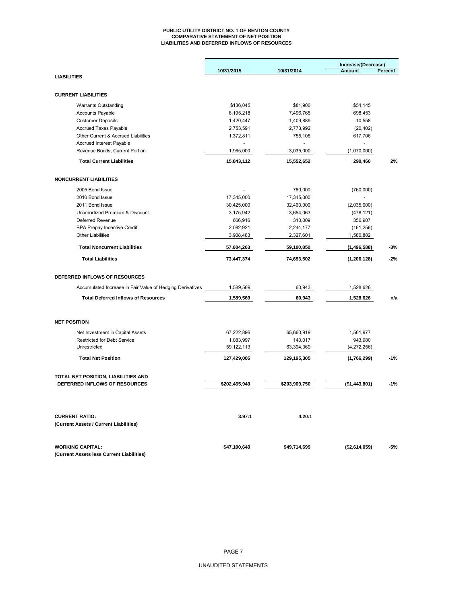#### **PUBLIC UTILITY DISTRICT NO. 1 OF BENTON COUNTY COMPARATIVE STATEMENT OF NET POSITION LIABILITIES AND DEFERRED INFLOWS OF RESOURCES**

|                                                           |                        |                        | Increase/(Decrease) |         |
|-----------------------------------------------------------|------------------------|------------------------|---------------------|---------|
|                                                           | 10/31/2015             | 10/31/2014             | Amount              | Percent |
| <b>LIABILITIES</b>                                        |                        |                        |                     |         |
| <b>CURRENT LIABILITIES</b>                                |                        |                        |                     |         |
|                                                           |                        |                        |                     |         |
| <b>Warrants Outstanding</b>                               | \$136,045              | \$81,900               | \$54,145            |         |
| <b>Accounts Payable</b>                                   | 8,195,218              | 7,496,765              | 698,453             |         |
| <b>Customer Deposits</b><br><b>Accrued Taxes Payable</b>  | 1,420,447<br>2,753,591 | 1,409,889<br>2,773,992 | 10,558<br>(20, 402) |         |
| Other Current & Accrued Liabilities                       | 1,372,811              | 755,105                | 617,706             |         |
| <b>Accrued Interest Payable</b>                           |                        |                        |                     |         |
| Revenue Bonds, Current Portion                            | 1,965,000              | 3,035,000              | (1,070,000)         |         |
| <b>Total Current Liabilities</b>                          | 15,843,112             | 15,552,652             | 290,460             | 2%      |
|                                                           |                        |                        |                     |         |
| <b>NONCURRENT LIABILITIES</b>                             |                        |                        |                     |         |
| 2005 Bond Issue                                           |                        | 760,000                | (760,000)           |         |
| 2010 Bond Issue                                           | 17,345,000             | 17,345,000             |                     |         |
| 2011 Bond Issue                                           | 30,425,000             | 32,460,000             | (2,035,000)         |         |
| Unamortized Premium & Discount                            | 3,175,942              | 3,654,063              | (478, 121)          |         |
| Deferred Revenue                                          | 666,916                | 310,009                | 356,907             |         |
| <b>BPA Prepay Incentive Credit</b>                        | 2,082,921              | 2,244,177              | (161, 256)          |         |
| <b>Other Liabilities</b>                                  | 3,908,483              | 2,327,601              | 1,580,882           |         |
| <b>Total Noncurrent Liabilities</b>                       | 57,604,263             | 59,100,850             | (1, 496, 588)       | $-3%$   |
| <b>Total Liabilities</b>                                  | 73,447,374             | 74,653,502             | (1, 206, 128)       | $-2%$   |
| DEFERRED INFLOWS OF RESOURCES                             |                        |                        |                     |         |
| Accumulated Increase in Fair Value of Hedging Derivatives | 1,589,569              | 60,943                 | 1,528,626           |         |
| <b>Total Deferred Inflows of Resources</b>                | 1,589,569              | 60,943                 | 1,528,626           | n/a     |
|                                                           |                        |                        |                     |         |
| <b>NET POSITION</b>                                       |                        |                        |                     |         |
| Net Investment in Capital Assets                          | 67,222,896             | 65,660,919             | 1,561,977           |         |
| <b>Restricted for Debt Service</b>                        | 1,083,997              | 140,017                | 943,980             |         |
| Unrestricted                                              | 59,122,113             | 63,394,369             | (4,272,256)         |         |
| <b>Total Net Position</b>                                 | 127,429,006            | 129,195,305            | (1,766,299)         | $-1%$   |
| TOTAL NET POSITION, LIABILITIES AND                       |                        |                        |                     |         |
| DEFERRED INFLOWS OF RESOURCES                             | \$202,465,949          | \$203,909,750          | (\$1,443,801)       | $-1%$   |
|                                                           |                        |                        |                     |         |
| <b>CURRENT RATIO:</b>                                     | 3.97:1                 | 4.20:1                 |                     |         |
| (Current Assets / Current Liabilities)                    |                        |                        |                     |         |
| <b>WORKING CAPITAL:</b>                                   | \$47,100,640           | \$49,714,699           | (\$2,614,059)       | -5%     |
| (Current Assets less Current Liabilities)                 |                        |                        |                     |         |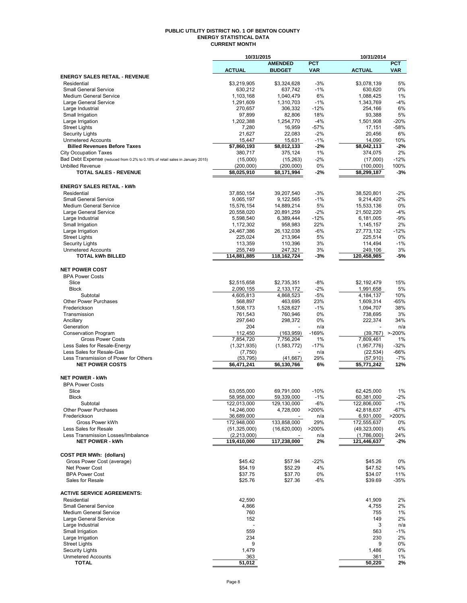#### **PUBLIC UTILITY DISTRICT NO. 1 OF BENTON COUNTY ENERGY STATISTICAL DATA CURRENT MONTH**

|                                                                               | 10/31/2015                |                          | 10/31/2014   |                           |                 |
|-------------------------------------------------------------------------------|---------------------------|--------------------------|--------------|---------------------------|-----------------|
|                                                                               |                           | <b>AMENDED</b>           | <b>PCT</b>   |                           | <b>PCT</b>      |
|                                                                               | <b>ACTUAL</b>             | <b>BUDGET</b>            | <b>VAR</b>   | <b>ACTUAL</b>             | <b>VAR</b>      |
| <b>ENERGY SALES RETAIL - REVENUE</b>                                          |                           |                          |              |                           |                 |
| Residential                                                                   | \$3,219,905               | \$3,324,628              | $-3%$        | \$3,078,139               | 5%              |
| <b>Small General Service</b><br><b>Medium General Service</b>                 | 630,212<br>1,103,168      | 637,742<br>1,040,479     | $-1%$<br>6%  | 630,620<br>1,088,425      | 0%<br>1%        |
| Large General Service                                                         | 1,291,609                 | 1,310,703                | $-1%$        | 1,343,769                 | $-4%$           |
| Large Industrial                                                              | 270.657                   | 306.332                  | $-12%$       | 254,166                   | 6%              |
| Small Irrigation                                                              | 97,899                    | 82,806                   | 18%          | 93,388                    | 5%              |
| Large Irrigation                                                              | 1,202,388                 | 1,254,770                | $-4%$        | 1,501,908                 | $-20%$          |
| <b>Street Lights</b>                                                          | 7,280                     | 16,959                   | $-57%$       | 17,151                    | $-58%$          |
| <b>Security Lights</b>                                                        | 21.627                    | 22,083                   | $-2%$        | 20,456                    | 6%              |
| <b>Unmetered Accounts</b>                                                     | 15,447                    | 15,631                   | $-1%$        | 14,090                    | 10%             |
| <b>Billed Revenues Before Taxes</b>                                           | \$7,860,193               | \$8,012,133              | $-2%$        | \$8,042,113               | $-2%$           |
| <b>City Occupation Taxes</b>                                                  | 380,717                   | 375,124                  | 1%           | 374,075                   | 2%              |
| Bad Debt Expense (reduced from 0.2% to 0.18% of retail sales in January 2015) | (15,000)                  | (15, 263)                | $-2%$        | (17,000)                  | $-12%$          |
| <b>Unbilled Revenue</b>                                                       | (200,000)                 | (200,000)                | 0%           | (100,000)                 | 100%            |
| <b>TOTAL SALES - REVENUE</b>                                                  | \$8,025,910               | \$8,171,994              | $-2%$        | \$8,299,187               | $-3%$           |
|                                                                               |                           |                          |              |                           |                 |
| <b>ENERGY SALES RETAIL - kWh</b>                                              |                           |                          |              |                           |                 |
| Residential                                                                   | 37,850,154                | 39,207,540               | $-3%$        | 38,520,801                | $-2%$           |
| <b>Small General Service</b>                                                  | 9,065,197                 | 9,122,565                | $-1%$        | 9,214,420                 | $-2%$           |
| <b>Medium General Service</b>                                                 | 15,576,154                | 14,889,214               | 5%           | 15,533,136                | 0%              |
| Large General Service                                                         | 20,558,020                | 20,891,259               | $-2%$        | 21,502,220                | $-4%$           |
| Large Industrial                                                              | 5,598,540                 | 6,389,444                | $-12%$       | 6,181,005                 | $-9%$           |
| Small Irrigation                                                              | 1,172,302                 | 958,983                  | 22%          | 1,145,157                 | 2%              |
| Large Irrigation                                                              | 24,467,386                | 26,132,038               | $-6%$        | 27,773,132                | $-12%$          |
| <b>Street Lights</b>                                                          | 225,024                   | 213,964                  | 5%           | 225,514                   | 0%              |
| <b>Security Lights</b><br><b>Unmetered Accounts</b>                           | 113,359<br>255,749        | 110,396                  | 3%           | 114,494                   | $-1%$<br>3%     |
| <b>TOTAL kWh BILLED</b>                                                       | 114,881,885               | 247,321<br>118,162,724   | 3%<br>-3%    | 249,106<br>120,458,985    | -5%             |
|                                                                               |                           |                          |              |                           |                 |
| <b>NET POWER COST</b>                                                         |                           |                          |              |                           |                 |
| <b>BPA Power Costs</b>                                                        |                           |                          |              |                           |                 |
| Slice                                                                         | \$2,515,658               | \$2,735,351              | -8%          | \$2,192,479               | 15%             |
| <b>Block</b>                                                                  | 2,090,155                 | 2,133,172                | $-2%$        | 1,991,658                 | 5%              |
| Subtotal                                                                      | 4,605,813                 | 4,868,523                | $-5%$        | 4,184,137                 | 10%             |
| Other Power Purchases                                                         | 568,897                   | 463,695                  | 23%          | 1,609,314                 | $-65%$          |
| Frederickson                                                                  | 1,508,173                 | 1,528,627                | $-1%$        | 1,094,707                 | 38%             |
| Transmission                                                                  | 761,543                   | 760,946                  | 0%           | 738,695                   | 3%              |
| Ancillary                                                                     | 297,640                   | 298,372                  | 0%           | 222,374                   | 34%             |
| Generation                                                                    | 204                       |                          | n/a          |                           | n/a             |
| Conservation Program                                                          | 112,450                   | (163, 959)               | $-169%$      | (39,767) >-200%           |                 |
| <b>Gross Power Costs</b>                                                      | 7,854,720                 | 7,756,204                | 1%           | 7,809,461                 | 1%              |
| Less Sales for Resale-Energy                                                  | (1,321,935)               | (1,583,772)              | $-17%$       | (1,957,776)               | $-32%$          |
| Less Sales for Resale-Gas                                                     | (7, 750)                  |                          | n/a          | (22, 534)                 | -66%            |
| Less Transmission of Power for Others                                         | (53, 795)                 | (41, 667)                | 29%          | (57, 910)                 | $-7%$           |
| <b>NET POWER COSTS</b>                                                        | \$6,471,241               | \$6,130,766              | 6%           | \$5,771,242               | 12%             |
|                                                                               |                           |                          |              |                           |                 |
| <b>NET POWER - kWh</b>                                                        |                           |                          |              |                           |                 |
| <b>BPA Power Costs</b>                                                        |                           |                          |              |                           |                 |
| Slice                                                                         | 63,055,000                | 69,791,000               | $-10%$       | 62.425.000                | 1%              |
| <b>Block</b>                                                                  | 58,958,000                | 59,339,000               | $-1\%$       | 60,381,000                | $-2\%$          |
| Subtotal<br>Other Power Purchases                                             | 122,013,000<br>14,246,000 | 129,130,000<br>4,728,000 | -6%<br>>200% | 122,806,000<br>42,818,637 | $-1%$<br>$-67%$ |
| Frederickson                                                                  | 36,689,000                |                          | n/a          | 6,931,000                 | >200%           |
| Gross Power kWh                                                               | 172,948,000               | 133,858,000              | 29%          | 172,555,637               | 0%              |
| Less Sales for Resale                                                         | (51, 325, 000)            | (16,620,000)             | >200%        | (49, 323, 000)            | 4%              |
| Less Transmission Losses/Imbalance                                            | (2, 213, 000)             |                          | n/a          | (1,786,000)               | 24%             |
| <b>NET POWER - kWh</b>                                                        | 119,410,000               | 117,238,000              | 2%           | 121,446,637               | -2%             |
|                                                                               |                           |                          |              |                           |                 |
| <b>COST PER MWh: (dollars)</b>                                                |                           |                          |              |                           |                 |
| Gross Power Cost (average)                                                    | \$45.42                   | \$57.94                  | $-22%$       | \$45.26                   | 0%              |
| Net Power Cost                                                                | \$54.19                   | \$52.29                  | 4%           | \$47.52                   | 14%             |
| <b>BPA Power Cost</b>                                                         | \$37.75                   | \$37.70                  | 0%           | \$34.07                   | 11%             |
| Sales for Resale                                                              | \$25.76                   | \$27.36                  | $-6%$        | \$39.69                   | -35%            |
|                                                                               |                           |                          |              |                           |                 |
| <b>ACTIVE SERVICE AGREEMENTS:</b>                                             |                           |                          |              |                           |                 |
| Residential                                                                   | 42,590                    |                          |              | 41,909                    | 2%              |
| <b>Small General Service</b>                                                  | 4,866                     |                          |              | 4,755                     | 2%              |
| <b>Medium General Service</b>                                                 | 760                       |                          |              | 755                       | 1%              |
| Large General Service                                                         | 152                       |                          |              | 149                       | 2%              |
| Large Industrial                                                              |                           |                          |              | 3                         | n/a             |
| Small Irrigation                                                              | 559                       |                          |              | 563                       | $-1%$           |
| Large Irrigation                                                              | 234                       |                          |              | 230                       | 2%              |
| <b>Street Lights</b>                                                          | 9                         |                          |              | 9                         | 0%              |
| <b>Security Lights</b><br><b>Unmetered Accounts</b>                           | 1,479<br>363              |                          |              | 1,486<br>361              | 0%<br>1%        |
| <b>TOTAL</b>                                                                  | $\overline{51,012}$       |                          |              | 50,220                    | 2%              |
|                                                                               |                           |                          |              |                           |                 |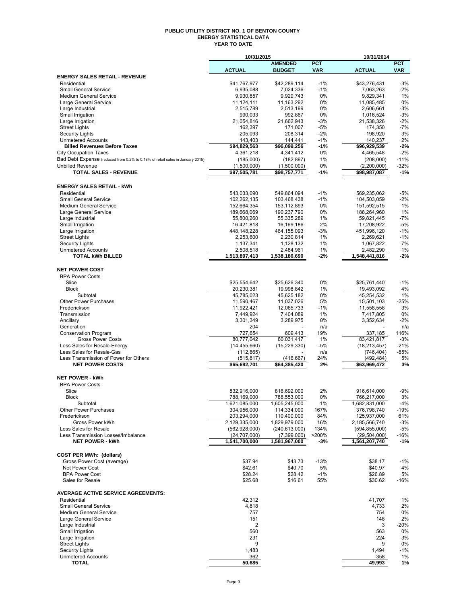#### **PUBLIC UTILITY DISTRICT NO. 1 OF BENTON COUNTY ENERGY STATISTICAL DATA YEAR TO DATE**

|                                                                               | 10/31/2015                 |                          |             | 10/31/2014               |             |  |
|-------------------------------------------------------------------------------|----------------------------|--------------------------|-------------|--------------------------|-------------|--|
|                                                                               |                            | <b>AMENDED</b>           | <b>PCT</b>  |                          | <b>PCT</b>  |  |
|                                                                               | <b>ACTUAL</b>              | <b>BUDGET</b>            | <b>VAR</b>  | <b>ACTUAL</b>            | <b>VAR</b>  |  |
| <b>ENERGY SALES RETAIL - REVENUE</b>                                          |                            |                          |             |                          |             |  |
| Residential                                                                   | \$41,767,977               | \$42.289.114             | $-1%$       | \$43,276,431             | $-3%$       |  |
| <b>Small General Service</b><br><b>Medium General Service</b>                 | 6,935,088<br>9,930,857     | 7,024,336<br>9,929,743   | $-1%$<br>0% | 7,063,263<br>9,829,341   | $-2%$<br>1% |  |
| Large General Service                                                         | 11,124,111                 | 11,163,292               | 0%          | 11,085,485               | 0%          |  |
| Large Industrial                                                              | 2,515,789                  | 2,513,199                | 0%          | 2.606.661                | $-3%$       |  |
| Small Irrigation                                                              | 990,033                    | 992,867                  | 0%          | 1,016,524                | $-3%$       |  |
| Large Irrigation                                                              | 21,054,816                 | 21,662,943               | $-3%$       | 21,538,326               | $-2%$       |  |
| <b>Street Lights</b>                                                          | 162,397                    | 171,007                  | $-5%$       | 174,350                  | $-7%$       |  |
| <b>Security Lights</b>                                                        | 205,093                    | 208,314                  | $-2%$       | 198,920                  | 3%          |  |
| <b>Unmetered Accounts</b>                                                     | 143,403                    | 144,441                  | $-1%$       | 140,237                  | 2%          |  |
| <b>Billed Revenues Before Taxes</b>                                           | \$94,829,563               | \$96,099,256             | $-1%$       | \$96,929,539             | $-2%$       |  |
| <b>City Occupation Taxes</b>                                                  | 4,361,218                  | 4,341,412                | 0%          | 4,465,548                | $-2%$       |  |
| Bad Debt Expense (reduced from 0.2% to 0.18% of retail sales in January 2015) | (185,000)                  | (182, 897)               | $1\%$       | (208,000)                | $-11%$      |  |
| <b>Unbilled Revenue</b>                                                       | (1,500,000)                | (1,500,000)              | 0%          | (2,200,000)              | $-32%$      |  |
| <b>TOTAL SALES - REVENUE</b>                                                  | \$97,505,781               | \$98,757,771             | $-1%$       | \$98,987,087             | $-1%$       |  |
|                                                                               |                            |                          |             |                          |             |  |
| <b>ENERGY SALES RETAIL - kWh</b>                                              |                            |                          |             |                          |             |  |
| Residential                                                                   | 543,033,090                | 549,864,094              | $-1%$       | 569,235,062              | $-5%$       |  |
| <b>Small General Service</b>                                                  | 102,262,135                | 103,468,438              | $-1%$       | 104,503,059              | $-2%$       |  |
| Medium General Service                                                        | 152,664,354                | 153, 112, 893            | 0%          | 151,592,515              | 1%          |  |
| Large General Service                                                         | 189,668,069                | 190,237,790              | 0%          | 188,264,960              | 1%          |  |
| Large Industrial                                                              | 55,800,260                 | 55,335,289               | 1%          | 59,821,445               | $-7%$       |  |
| Small Irrigation                                                              | 16,421,818                 | 16, 169, 186             | 2%          | 17,208,922               | $-5%$       |  |
| Large Irrigation                                                              | 448,148,228                | 464, 155, 093            | $-3%$       | 451,996,120              | $-1%$       |  |
| <b>Street Lights</b>                                                          | 2,253,600                  | 2,230,814                | 1%          | 2,269,621                | $-1%$       |  |
| <b>Security Lights</b>                                                        | 1,137,341                  | 1,128,132                | 1%          | 1,067,822                | 7%          |  |
| <b>Unmetered Accounts</b>                                                     | 2,508,518                  | 2,484,961                | 1%          | 2,482,290                | 1%          |  |
| <b>TOTAL kWh BILLED</b>                                                       | 1,513,897,413              | 1,538,186,690            | $-2%$       | 1,548,441,816            | $-2%$       |  |
|                                                                               |                            |                          |             |                          |             |  |
| <b>NET POWER COST</b>                                                         |                            |                          |             |                          |             |  |
| <b>BPA Power Costs</b>                                                        |                            |                          |             |                          |             |  |
| Slice                                                                         |                            |                          | 0%          | \$25,761,440             | $-1%$       |  |
| <b>Block</b>                                                                  | \$25,554,642<br>20,230,381 | \$25,626,340             | 1%          |                          | 4%          |  |
| Subtotal                                                                      | 45,785,023                 | 19,998,842<br>45,625,182 | 0%          | 19,493,092<br>45,254,532 | 1%          |  |
| Other Power Purchases                                                         |                            |                          | 5%          | 15,501,103               | $-25%$      |  |
| Frederickson                                                                  | 11,590,467                 | 11,037,026               |             |                          | 3%          |  |
| Transmission                                                                  | 11,922,421                 | 12,065,733               | -1%<br>1%   | 11,558,558               | 0%          |  |
|                                                                               | 7,449,924                  | 7,404,089                |             | 7,417,805                |             |  |
| Ancillary                                                                     | 3,301,349                  | 3,289,975                | 0%          | 3,352,634                | $-2%$       |  |
| Generation                                                                    | 204                        |                          | n/a         |                          | n/a         |  |
| <b>Conservation Program</b>                                                   | 727,654                    | 609,413                  | 19%         | 337,185                  | 116%        |  |
| <b>Gross Power Costs</b>                                                      | 80,777,042                 | 80,031,417               | 1%          | 83,421,817               | $-3%$       |  |
| Less Sales for Resale-Energy                                                  | (14, 455, 660)             | (15, 229, 330)           | -5%         | (18, 213, 457)           | $-21%$      |  |
| Less Sales for Resale-Gas                                                     | (112, 865)                 |                          | n/a         | (746, 404)               | $-85%$      |  |
| Less Transmission of Power for Others                                         | (515, 817)                 | (416, 667)               | 24%         | (492, 484)               | 5%          |  |
| <b>NET POWER COSTS</b>                                                        | \$65,692,701               | \$64,385,420             | 2%          | \$63,969,472             | 3%          |  |
|                                                                               |                            |                          |             |                          |             |  |
| <b>NET POWER - kWh</b>                                                        |                            |                          |             |                          |             |  |
| <b>BPA Power Costs</b>                                                        |                            |                          |             |                          |             |  |
| Slice                                                                         | 832,916,000                | 816,692,000              | 2%          | 916,614,000              | -9%         |  |
| <b>Block</b>                                                                  | 788,169,000                | 788,553,000              | $0\%$       | 766,217,000              | 3%          |  |
| Subtotal                                                                      | 1,621,085,000              | 1,605,245,000            | 1%          | 1,682,831,000            | $-4%$       |  |
| Other Power Purchases                                                         | 304,956,000                | 114,334,000              | 167%        | 376,798,740              | -19%        |  |
| Frederickson                                                                  | 203,294,000                | 110,400,000              | 84%         | 125,937,000              | 61%         |  |
| Gross Power kWh                                                               | 2,129,335,000              | 1,829,979,000            | 16%         | 2,185,566,740            | $-3%$       |  |
| Less Sales for Resale                                                         | (562, 928, 000)            | (240, 613, 000)          | 134%        | (594, 855, 000)          | -5%         |  |
| Less Transmission Losses/Imbalance                                            | (24,707,000)               | (7,399,000)              | >200%       | (29, 504, 000)           | $-16%$      |  |
| <b>NET POWER - kWh</b>                                                        | 1,541,700,000              | 1,581,967,000            | -3%         | 1,561,207,740            | -1%         |  |
|                                                                               |                            |                          |             |                          |             |  |
| <b>COST PER MWh: (dollars)</b>                                                |                            |                          |             |                          |             |  |
| Gross Power Cost (average)                                                    | \$37.94                    | \$43.73                  | $-13%$      | \$38.17                  | $-1%$       |  |
| Net Power Cost                                                                | \$42.61                    | \$40.70                  | 5%          | \$40.97                  | 4%          |  |
| <b>BPA Power Cost</b>                                                         | \$28.24                    | \$28.42                  | $-1%$       | \$26.89                  | 5%          |  |
| Sales for Resale                                                              | \$25.68                    | \$16.61                  | 55%         | \$30.62                  | -16%        |  |
| <b>AVERAGE ACTIVE SERVICE AGREEMENTS:</b>                                     |                            |                          |             |                          |             |  |
| Residential                                                                   | 42,312                     |                          |             | 41,707                   | 1%          |  |
| <b>Small General Service</b>                                                  | 4,818                      |                          |             | 4,733                    | 2%          |  |
| <b>Medium General Service</b>                                                 | 757                        |                          |             | 754                      | 0%          |  |
|                                                                               | 151                        |                          |             | 148                      | 2%          |  |
| Large General Service                                                         |                            |                          |             |                          |             |  |
| Large Industrial                                                              | 2                          |                          |             | 3                        | $-20%$      |  |
| Small Irrigation                                                              | 560                        |                          |             | 563                      | 0%          |  |
| Large Irrigation                                                              | 231                        |                          |             | 224                      | 3%          |  |
| <b>Street Lights</b>                                                          | 9                          |                          |             | 9                        | 0%          |  |
| <b>Security Lights</b>                                                        | 1,483                      |                          |             | 1,494                    | $-1%$       |  |
| <b>Unmetered Accounts</b><br><b>TOTAL</b>                                     | 362<br>50,685              |                          |             | 358<br>49,993            | 1%          |  |
|                                                                               |                            |                          |             |                          | 1%          |  |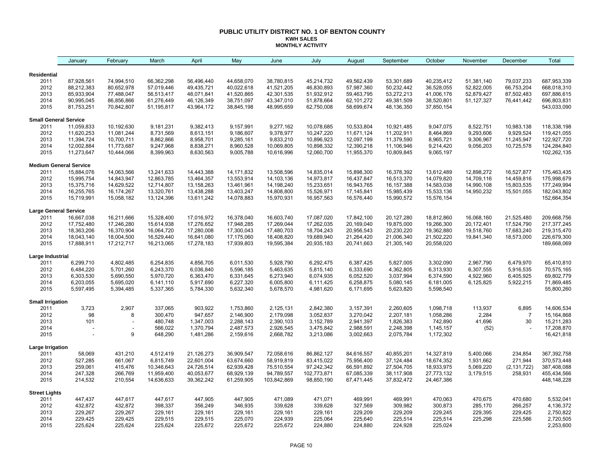#### **PUBLIC UTILITY DISTRICT NO. 1 OF BENTON COUNTY KWH SALES MONTHLY ACTIVITY**

|                                 | January                       | February                 | March                  | April                  | May                    | June                   | July                   | August                 | September              | October                | November     | December       | Total                    |
|---------------------------------|-------------------------------|--------------------------|------------------------|------------------------|------------------------|------------------------|------------------------|------------------------|------------------------|------------------------|--------------|----------------|--------------------------|
| <b>Residential</b>              |                               |                          |                        |                        |                        |                        |                        |                        |                        |                        |              |                |                          |
| 2011                            | 87,928,561                    | 74,994,510               | 66,362,298             | 56,496,440             | 44,658,070             | 38,780,815             | 45,214,732             | 49,562,439             | 53,301,689             | 40,235,412             | 51,381,140   | 79,037,233     | 687,953,339              |
| 2012                            | 88,212,383                    | 80,652,978               | 57,019,446             | 49,435,721             | 40,022,618             | 41,521,205             | 46,830,893             | 57,987,360             | 50,232,442             | 36,528,055             | 52,822,005   | 66,753,204     | 668,018,310              |
| 2013                            | 85,933,904                    | 77,488,047               | 56,513,417             | 48,071,841             | 41,520,865             | 42,301,535             | 51,932,912             | 59,463,795             | 53,272,213             | 41,006,176             | 52,879,427   | 87,502,483     | 697,886,615              |
| 2014                            | 90,995,045                    | 86,856,866               | 61,276,449             | 46,126,349             | 38,751,097             | 43,347,010             | 51,878,664             | 62,101,272             | 49,381,509             | 38,520,801             | 51, 127, 327 | 76,441,442     | 696,803,831              |
| 2015                            | 81,753,251                    | 70,842,807               | 51,195,817             | 43,964,172             | 38,845,198             | 48,995,659             | 62,750,008             | 58,699,674             | 48,136,350             | 37,850,154             |              |                | 543,033,090              |
| <b>Small General Service</b>    |                               |                          |                        |                        |                        |                        |                        |                        |                        |                        |              |                |                          |
| 2011                            | 11,059,833                    | 10,192,630               | 9,181,231              | 9,382,413              | 9,157,991              | 9,277,162              | 10,078,685             | 10,533,804             | 10,921,485             | 9,047,075              | 8,522,751    | 10,983,138     | 118,338,198              |
| 2012                            | 11,620,253                    | 11,081,244               | 8,731,569              | 8,613,151              | 9,186,607              | 9,378,977              | 10,247,220             | 11,671,124             | 11,202,911             | 8,464,869              | 9,293,606    | 9,929,524      | 119,421,055              |
| 2013                            | 11,394,724                    | 10,700,711               | 8,862,866              | 8,958,701              | 9,285,161              | 9,833,210              | 10,896,923             | 12,097,199             | 11,379,590             | 8,965,721              | 9,306,967    | 11,245,947     | 122,927,720              |
| 2014                            | 12,002,884                    | 11,773,687               | 9,247,968              | 8,838,271              | 8,960,528              | 10,069,805             | 10,898,332             | 12,390,218             | 11,106,946             | 9,214,420              | 9,056,203    | 10,725,578     | 124,284,840              |
| 2015                            | 11,273,647                    | 10,444,066               | 8,399,963              | 8,630,563              | 9,005,788              | 10,616,996             | 12,060,700             | 11,955,370             | 10,809,845             | 9,065,197              |              |                | 102,262,135              |
|                                 | <b>Medium General Service</b> |                          |                        |                        |                        |                        |                        |                        |                        |                        |              |                |                          |
| 2011                            | 15,884,076                    | 14,063,566               | 13,241,633             | 14,443,388             | 14, 171, 832           | 13,508,596             | 14,835,014             | 15,898,300             | 16,378,392             | 13,612,489             | 12,898,272   | 16,527,877     | 175,463,435              |
| 2012                            | 15,995,754                    | 14,843,947               | 12,863,785             | 13,464,357             | 13,553,914             | 14,103,136             | 14,973,817             | 16,437,847             | 16,513,370             | 14,079,820             | 14,709,116   | 14,459,816     | 175,998,679              |
| 2013                            | 15,375,716                    | 14,629,522               | 12,714,807             | 13,158,263             | 13,461,961             | 14,198,240             | 15,233,651             | 16,943,765             | 16, 157, 388           | 14,583,038             | 14,990,108   | 15,803,535     | 177,249,994              |
| 2014                            | 16,255,765                    | 16,174,267               | 13,320,761             | 13,438,288             | 13,403,247             | 14,808,800             | 15,526,971             | 17,145,841             | 15,985,439             | 15,533,136             | 14,950,232   | 15,501,055     | 182,043,802              |
| 2015                            | 15,719,991                    | 15,058,182               | 13,124,396             | 13,611,242             | 14,078,883             | 15,970,931             | 16,957,563             | 16,576,440             | 15,990,572             | 15,576,154             |              |                | 152,664,354              |
| <b>Large General Service</b>    |                               |                          |                        |                        |                        |                        |                        |                        |                        |                        |              |                |                          |
| 2011                            | 16,667,038                    | 16,211,666               | 15,328,400             | 17,016,972             | 16,378,040             | 16,603,740             | 17,087,020             | 17,842,100             | 20,127,280             | 18,812,860             | 16,068,160   | 21,525,480     | 209,668,756              |
| 2012                            | 17,752,480                    | 17,246,280               | 15,614,938             | 17,276,652             | 17,948,285             | 17,269,044             | 17,262,035             | 20,169,040             | 19,875,000             | 19,266,300             | 20,172,401   | 17,524,790     | 217, 377, 245            |
| 2013                            | 18,363,206                    | 16,370,904               | 16,064,720             | 17,280,008             | 17,300,043             | 17,480,703             | 18,704,243             | 20,956,543             | 20,230,220             | 19,362,880             | 19,518,760   | 17,683,240     | 219,315,470              |
| 2014                            | 18,043,140                    | 18,004,500               | 16,529,440             | 16,641,080             | 17,175,060             | 18,408,820             | 19,689,940             | 21,264,420             | 21,006,340             | 21,502,220             | 19,841,340   | 18,573,000     | 226,679,300              |
| 2015                            | 17,888,911                    | 17,212,717               | 16,213,065             | 17,278,183             | 17,939,803             | 19,595,384             | 20,935,183             | 20,741,663             | 21,305,140             | 20,558,020             |              |                | 189,668,069              |
| Large Industrial                |                               |                          |                        |                        |                        |                        |                        |                        |                        |                        |              |                |                          |
| 2011                            | 6,299,710                     | 4,802,485                | 6,254,835              | 4,856,705              | 6,011,530              | 5,928,790              | 6,292,475              | 6,387,425              | 5,827,005              | 3,302,090              | 2,967,790    | 6,479,970      | 65,410,810               |
| 2012                            | 6,484,220                     | 5,701,260                | 6,243,370              | 6,036,840              | 5,596,185              | 5,463,635              | 5,815,140              | 6,333,690              | 4,362,805              | 6,313,930              | 6,307,555    | 5,916,535      | 70,575,165               |
| 2013                            | 6,303,530                     | 5,690,550                | 5,970,720              | 6,363,470              | 6,331,645              | 6,273,940              | 6,074,935              | 6,052,520              | 3,037,994              | 6,374,590              | 4,922,960    | 6,405,925      | 69,802,779               |
| 2014<br>2015                    | 6,203,055<br>5,597,495        | 5,695,020<br>5,394,485   | 6,141,110<br>5,337,365 | 5,917,690<br>5,784,330 | 6,227,320<br>5,632,340 | 6,005,800<br>5,678,570 | 6,111,425<br>4,981,620 | 6,258,875<br>6,171,695 | 5,080,145<br>5,623,820 | 6,181,005<br>5,598,540 | 6,125,825    | 5,922,215      | 71,869,485<br>55,800,260 |
|                                 |                               |                          |                        |                        |                        |                        |                        |                        |                        |                        |              |                |                          |
| <b>Small Irrigation</b><br>2011 | 3,723                         | 2,907                    | 337,065                | 903,922                | 1,753,860              | 2,125,131              | 2,842,380              | 3,157,391              | 2,260,605              | 1,098,718              | 113,937      | 6,895          | 14,606,534               |
| 2012                            | 98                            | 8                        | 300,470                | 947,657                | 2,146,900              | 2,179,098              | 3,052,837              | 3,270,042              | 2,207,181              | 1,058,286              | 2,284        | $\overline{7}$ | 15,164,868               |
| 2013                            | 101                           | $\overline{\phantom{a}}$ | 480,748                | 1,347,003              | 2,288,143              | 2,390,103              | 3,152,789              | 2,941,397              | 1,826,383              | 742,890                | 41,696       | 30             | 15,211,283               |
| 2014                            |                               |                          | 566,022                | 1,370,794              | 2,487,573              | 2,926,545              | 3,475,842              | 2,988,591              | 2,248,398              | 1,145,157              | (52)         |                | 17,208,870               |
| 2015                            |                               | 9                        | 648,290                | 1,481,286              | 2,159,616              | 2,668,782              | 3,213,086              | 3,002,663              | 2,075,784              | 1,172,302              |              |                | 16,421,818               |
| Large Irrigation                |                               |                          |                        |                        |                        |                        |                        |                        |                        |                        |              |                |                          |
| 2011                            | 58,069                        | 431,210                  | 4,512,419              | 21,126,273             | 36,909,547             | 72,058,616             | 86,862,127             | 84,616,557             | 40,855,201             | 14,327,819             | 5,400,066    | 234,854        | 367,392,758              |
| 2012                            | 527,285                       | 661,067                  | 6,815,749              | 22,601,004             | 63,674,660             | 58,919,819             | 83,415,022             | 75,956,400             | 37,124,484             | 18,674,352             | 1,931,662    | 271,944        | 370,573,448              |
| 2013                            | 259,061                       | 415,476                  | 10,346,643             | 24,726,514             | 62,939,428             | 75,510,554             | 97,242,342             | 66,591,892             | 27,504,705             | 18,933,975             | 5,069,220    | (2, 131, 722)  | 387,408,088              |
| 2014                            | 247,328                       | 266,769                  | 11,959,400             | 40,053,677             | 68,929,139             | 94,789,557             | 102,773,871            | 67,085,339             | 38,117,908             | 27,773,132             | 3,179,515    | 258,931        | 455,434,566              |
| 2015                            | 214,532                       | 210,554                  | 14,636,633             | 39,362,242             | 61,259,905             | 103,842,869            | 98,850,190             | 67,471,445             | 37,832,472             | 24,467,386             |              |                | 448,148,228              |
| <b>Street Lights</b>            |                               |                          |                        |                        |                        |                        |                        |                        |                        |                        |              |                |                          |
| 2011                            | 447,437                       | 447,617                  | 447,617                | 447,905                | 447,905                | 471,089                | 471,071                | 469,991                | 469,991                | 470,063                | 470,675      | 470,680        | 5,532,041                |
| 2012                            | 432,872                       | 432,872                  | 398,337                | 356,249                | 346,935                | 339,628                | 339,628                | 327,569                | 309,982                | 300,873                | 285,170      | 266,257        | 4,136,372                |
| 2013                            | 229,267                       | 229,267                  | 229,161                | 229,161                | 229,161                | 229,161                | 229,161                | 229,209                | 229,209                | 229,245                | 229,395      | 229,425        | 2,750,822                |
| 2014                            | 229,425                       | 229,425                  | 229,515                | 229,515                | 225,070                | 224,939                | 225,064                | 225,640                | 225,514                | 225,514                | 225,298      | 225,586        | 2,720,505                |
| 2015                            | 225,624                       | 225,624                  | 225,624                | 225,672                | 225,672                | 225,672                | 224,880                | 224,880                | 224,928                | 225,024                |              |                | 2,253,600                |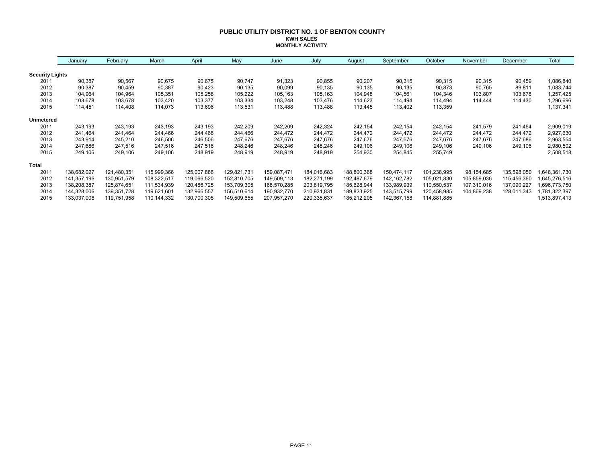#### **PUBLIC UTILITY DISTRICT NO. 1 OF BENTON COUNTY KWH SALES MONTHLY ACTIVITY**

|                        | January     | February    | March       | April       | May         | June        | July        | August      | September     | October     | November    | December    | Total         |
|------------------------|-------------|-------------|-------------|-------------|-------------|-------------|-------------|-------------|---------------|-------------|-------------|-------------|---------------|
| <b>Security Lights</b> |             |             |             |             |             |             |             |             |               |             |             |             |               |
| 2011                   | 90,387      | 90,567      | 90,675      | 90,675      | 90,747      | 91,323      | 90,855      | 90,207      | 90,315        | 90,315      | 90,315      | 90,459      | 1,086,840     |
| 2012                   | 90,387      | 90,459      | 90,387      | 90,423      | 90,135      | 90,099      | 90,135      | 90,135      | 90,135        | 90,873      | 90,765      | 89,811      | 1,083,744     |
| 2013                   | 104,964     | 104,964     | 105,351     | 105,258     | 105,222     | 105,163     | 105,163     | 104,948     | 104,561       | 104,346     | 103,807     | 103,678     | 1,257,425     |
| 2014                   | 103,678     | 103,678     | 103,420     | 103,377     | 103,334     | 103,248     | 103,476     | 114,623     | 114,494       | 114,494     | 114.444     | 114,430     | 1,296,696     |
| 2015                   | 114,451     | 114,408     | 114,073     | 113,696     | 113,531     | 113,488     | 113,488     | 113,445     | 113,402       | 113,359     |             |             | 1,137,341     |
| <b>Unmetered</b>       |             |             |             |             |             |             |             |             |               |             |             |             |               |
| 2011                   | 243,193     | 243,193     | 243,193     | 243,193     | 242,209     | 242,209     | 242,324     | 242,154     | 242,154       | 242,154     | 241,579     | 241,464     | 2,909,019     |
| 2012                   | 241,464     | 241,464     | 244,466     | 244,466     | 244,466     | 244,472     | 244,472     | 244,472     | 244,472       | 244,472     | 244,472     | 244,472     | 2,927,630     |
| 2013                   | 243,914     | 245,210     | 246,506     | 246,506     | 247,676     | 247,676     | 247,676     | 247,676     | 247,676       | 247,676     | 247,676     | 247,686     | 2,963,554     |
| 2014                   | 247,686     | 247,516     | 247,516     | 247,516     | 248,246     | 248,246     | 248,246     | 249,106     | 249,106       | 249,106     | 249,106     | 249,106     | 2,980,502     |
| 2015                   | 249,106     | 249,106     | 249,106     | 248,919     | 248,919     | 248,919     | 248,919     | 254,930     | 254,845       | 255,749     |             |             | 2,508,518     |
| Total                  |             |             |             |             |             |             |             |             |               |             |             |             |               |
| 2011                   | 138,682,027 | 121,480,351 | 115,999,366 | 125,007,886 | 129,821,731 | 159,087,471 | 184,016,683 | 188,800,368 | 150,474,117   | 101,238,995 | 98,154,685  | 135,598,050 | 648,361,730   |
| 2012                   | 141,357,196 | 130,951,579 | 108,322,517 | 119,066,520 | 152,810,705 | 149,509,113 | 182,271,199 | 192,487,679 | 142, 162, 782 | 105,021,830 | 105,859,036 | 115,456,360 | 645,276,516   |
| 2013                   | 138,208,387 | 125,874,651 | 111,534,939 | 120,486,725 | 153,709,305 | 168,570,285 | 203,819,795 | 185,628,944 | 133,989,939   | 110,550,537 | 107,310,016 | 137,090,227 | 696,773,750   |
| 2014                   | 144,328,006 | 139,351,728 | 119,621,601 | 132,966,557 | 156,510,614 | 190,932,770 | 210,931,831 | 189,823,925 | 143,515,799   | 120,458,985 | 104,869,238 | 128,011,343 | ,781,322,397  |
| 2015                   | 133,037,008 | 119,751,958 | 110,144,332 | 130,700,305 | 149,509,655 | 207,957,270 | 220,335,637 | 185,212,205 | 142,367,158   | 114,881,885 |             |             | 1,513,897,413 |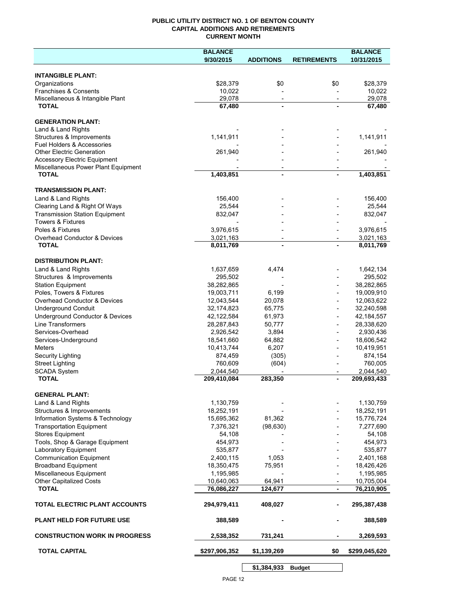### **PUBLIC UTILITY DISTRICT NO. 1 OF BENTON COUNTY CAPITAL ADDITIONS AND RETIREMENTS CURRENT MONTH**

|                                                               | <b>BALANCE</b>           |                          |                          | <b>BALANCE</b>           |
|---------------------------------------------------------------|--------------------------|--------------------------|--------------------------|--------------------------|
|                                                               | 9/30/2015                | <b>ADDITIONS</b>         | <b>RETIREMENTS</b>       | 10/31/2015               |
| <b>INTANGIBLE PLANT:</b>                                      |                          |                          |                          |                          |
| Organizations                                                 | \$28,379                 | \$0                      | \$0                      | \$28,379                 |
| Franchises & Consents                                         | 10,022                   |                          |                          | 10,022                   |
| Miscellaneous & Intangible Plant                              | 29,078                   | $\overline{\phantom{a}}$ | $\overline{\phantom{a}}$ | 29,078                   |
| <b>TOTAL</b>                                                  | 67,480                   | $\blacksquare$           |                          | 67,480                   |
|                                                               |                          |                          |                          |                          |
| <b>GENERATION PLANT:</b><br>Land & Land Rights                |                          |                          |                          |                          |
| Structures & Improvements                                     | 1,141,911                |                          |                          | 1,141,911                |
| <b>Fuel Holders &amp; Accessories</b>                         |                          |                          |                          |                          |
| <b>Other Electric Generation</b>                              | 261,940                  |                          |                          | 261,940                  |
| <b>Accessory Electric Equipment</b>                           |                          |                          |                          |                          |
| Miscellaneous Power Plant Equipment                           |                          | $\overline{\phantom{a}}$ |                          |                          |
| <b>TOTAL</b>                                                  | 1,403,851                | $\blacksquare$           |                          | 1,403,851                |
| <b>TRANSMISSION PLANT:</b>                                    |                          |                          |                          |                          |
| Land & Land Rights                                            | 156,400                  |                          |                          | 156,400                  |
| Clearing Land & Right Of Ways                                 | 25,544                   |                          |                          | 25,544                   |
| <b>Transmission Station Equipment</b>                         | 832,047                  |                          |                          | 832,047                  |
| <b>Towers &amp; Fixtures</b>                                  |                          |                          |                          |                          |
| Poles & Fixtures                                              | 3,976,615                |                          |                          | 3,976,615                |
| Overhead Conductor & Devices                                  | 3,021,163                |                          |                          | 3,021,163                |
| <b>TOTAL</b>                                                  | 8,011,769                |                          |                          | 8,011,769                |
| <b>DISTRIBUTION PLANT:</b>                                    |                          |                          |                          |                          |
| Land & Land Rights                                            | 1,637,659                | 4,474                    |                          | 1,642,134                |
| Structures & Improvements                                     | 295,502                  |                          |                          | 295,502                  |
| <b>Station Equipment</b>                                      | 38,282,865               |                          |                          | 38,282,865               |
| Poles, Towers & Fixtures                                      | 19,003,711               | 6,199                    |                          | 19,009,910               |
| Overhead Conductor & Devices                                  | 12,043,544               | 20,078                   |                          | 12,063,622               |
| <b>Underground Conduit</b>                                    | 32,174,823               | 65,775                   |                          | 32,240,598               |
| Underground Conductor & Devices                               | 42,122,584               | 61,973                   |                          | 42, 184, 557             |
| <b>Line Transformers</b>                                      | 28,287,843               | 50,777                   |                          | 28,338,620               |
| Services-Overhead                                             | 2,926,542                | 3,894                    |                          | 2,930,436                |
| Services-Underground                                          | 18,541,660               | 64,882                   |                          | 18,606,542               |
| <b>Meters</b>                                                 | 10,413,744<br>874,459    | 6,207                    |                          | 10,419,951               |
| Security Lighting<br><b>Street Lighting</b>                   | 760,609                  | (305)<br>(604)           |                          | 874,154<br>760,005       |
| <b>SCADA System</b>                                           | 2,044,540                |                          |                          | 2,044,540                |
| <b>TOTAL</b>                                                  | 209,410,084              | 283,350                  |                          | 209,693,433              |
|                                                               |                          |                          |                          |                          |
| <b>GENERAL PLANT:</b>                                         |                          |                          |                          |                          |
| Land & Land Rights                                            | 1,130,759                |                          |                          | 1,130,759                |
| Structures & Improvements<br>Information Systems & Technology | 18,252,191<br>15,695,362 | 81,362                   |                          | 18,252,191<br>15,776,724 |
| <b>Transportation Equipment</b>                               | 7,376,321                | (98, 630)                |                          | 7,277,690                |
| <b>Stores Equipment</b>                                       | 54,108                   |                          |                          | 54,108                   |
| Tools, Shop & Garage Equipment                                | 454,973                  |                          |                          | 454,973                  |
| Laboratory Equipment                                          | 535,877                  |                          |                          | 535,877                  |
| <b>Communication Equipment</b>                                | 2,400,115                | 1,053                    |                          | 2,401,168                |
| <b>Broadband Equipment</b>                                    | 18,350,475               | 75,951                   |                          | 18,426,426               |
| Miscellaneous Equipment                                       | 1,195,985                |                          |                          | 1,195,985                |
| <b>Other Capitalized Costs</b>                                | 10,640,063               | 64,941                   |                          | 10,705,004               |
| <b>TOTAL</b>                                                  | 76,086,227               | 124,677                  | $\blacksquare$           | 76,210,905               |
| TOTAL ELECTRIC PLANT ACCOUNTS                                 | 294,979,411              | 408,027                  |                          | 295,387,438              |
| <b>PLANT HELD FOR FUTURE USE</b>                              | 388,589                  |                          |                          | 388,589                  |
| <b>CONSTRUCTION WORK IN PROGRESS</b>                          | 2,538,352                | 731,241                  |                          | 3,269,593                |
| <b>TOTAL CAPITAL</b>                                          | \$297,906,352            | \$1,139,269              | \$0                      | \$299,045,620            |
|                                                               |                          | \$1,384,933              | <b>Budget</b>            |                          |

PAGE 12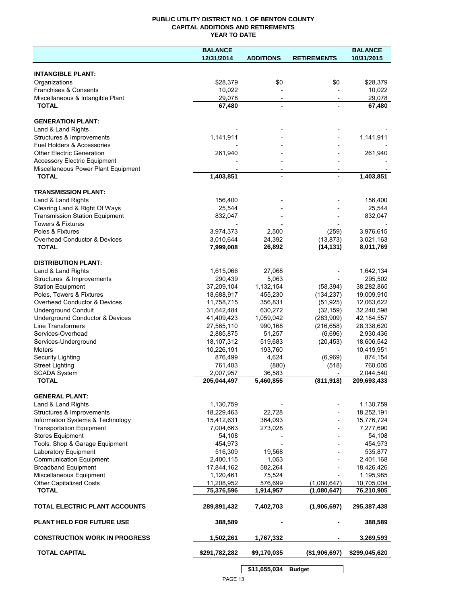## **PUBLIC UTILITY DISTRICT NO. 1 OF BENTON COUNTY CAPITAL ADDITIONS AND RETIREMENTS YEAR TO DATE**

|                                                           | <b>BALANCE</b>     |                          |                    | <b>BALANCE</b>     |
|-----------------------------------------------------------|--------------------|--------------------------|--------------------|--------------------|
|                                                           | 12/31/2014         | <b>ADDITIONS</b>         | <b>RETIREMENTS</b> | 10/31/2015         |
|                                                           |                    |                          |                    |                    |
| <b>INTANGIBLE PLANT:</b>                                  |                    |                          |                    |                    |
| Organizations                                             | \$28,379<br>10,022 | \$0                      | \$0                | \$28,379           |
| Franchises & Consents<br>Miscellaneous & Intangible Plant | 29,078             | $\overline{\phantom{a}}$ |                    | 10,022<br>29.078   |
| <b>TOTAL</b>                                              | 67,480             |                          |                    | 67,480             |
|                                                           |                    |                          |                    |                    |
| <b>GENERATION PLANT:</b>                                  |                    |                          |                    |                    |
| Land & Land Rights                                        |                    |                          |                    |                    |
| Structures & Improvements                                 | 1,141,911          |                          |                    | 1,141,911          |
| Fuel Holders & Accessories                                |                    |                          |                    |                    |
| <b>Other Electric Generation</b>                          | 261,940            |                          |                    | 261,940            |
| <b>Accessory Electric Equipment</b>                       |                    |                          |                    |                    |
| Miscellaneous Power Plant Equipment                       |                    |                          |                    |                    |
| <b>TOTAL</b>                                              | 1,403,851          | $\overline{a}$           |                    | 1,403,851          |
| <b>TRANSMISSION PLANT:</b>                                |                    |                          |                    |                    |
| Land & Land Rights                                        | 156,400            |                          |                    | 156,400            |
| Clearing Land & Right Of Ways                             | 25,544             |                          |                    | 25,544             |
| <b>Transmission Station Equipment</b>                     | 832,047            |                          |                    | 832,047            |
| <b>Towers &amp; Fixtures</b>                              |                    |                          |                    |                    |
| Poles & Fixtures                                          | 3,974,373          | 2,500                    | (259)              | 3,976,615          |
| Overhead Conductor & Devices                              | 3,010,644          | 24,392                   | (13, 873)          | 3,021,163          |
| <b>TOTAL</b>                                              | 7,999,008          | 26,892                   | (14, 131)          | 8,011,769          |
|                                                           |                    |                          |                    |                    |
| <b>DISTRIBUTION PLANT:</b>                                |                    |                          |                    |                    |
| Land & Land Rights                                        | 1,615,066          | 27,068                   |                    | 1,642,134          |
| Structures & Improvements                                 | 290,439            | 5,063                    |                    | 295,502            |
| <b>Station Equipment</b>                                  | 37,209,104         | 1,132,154                | (58, 394)          | 38,282,865         |
| Poles, Towers & Fixtures                                  | 18,688,917         | 455,230                  | (134, 237)         | 19,009,910         |
| Overhead Conductor & Devices                              | 11,758,715         | 356,831                  | (51, 925)          | 12,063,622         |
| <b>Underground Conduit</b>                                | 31,642,484         | 630,272                  | (32, 159)          | 32,240,598         |
| Underground Conductor & Devices                           | 41,409,423         | 1,059,042                | (283,909)          | 42, 184, 557       |
| Line Transformers                                         | 27,565,110         | 990,168                  | (216, 658)         | 28,338,620         |
| Services-Overhead                                         | 2,885,875          | 51,257                   | (6,696)            | 2,930,436          |
| Services-Underground                                      | 18,107,312         | 519,683                  | (20, 453)          | 18,606,542         |
| Meters                                                    | 10,226,191         | 193,760                  |                    | 10,419,951         |
| Security Lighting<br><b>Street Lighting</b>               | 876,499<br>761,403 | 4,624<br>(880)           | (6,969)<br>(518)   | 874,154<br>760,005 |
| <b>SCADA System</b>                                       | 2,007,957          | 36,583                   |                    | 2,044,540          |
| <b>TOTAL</b>                                              | 205,044,497        | 5,460,855                | (811, 918)         | 209,693,433        |
|                                                           |                    |                          |                    |                    |
| <b>GENERAL PLANT:</b>                                     |                    |                          |                    |                    |
| Land & Land Rights                                        | 1,130,759          |                          |                    | 1,130,759          |
| Structures & Improvements                                 | 18,229,463         | 22,728                   |                    | 18,252,191         |
| Information Systems & Technology                          | 15,412,631         | 364,093                  |                    | 15,776,724         |
| <b>Transportation Equipment</b>                           | 7,004,663          | 273,028                  |                    | 7,277,690          |
| <b>Stores Equipment</b>                                   | 54,108             |                          |                    | 54,108             |
| Tools, Shop & Garage Equipment                            | 454,973            |                          |                    | 454,973            |
| Laboratory Equipment                                      | 516,309            | 19.568                   |                    | 535,877            |
| <b>Communication Equipment</b>                            | 2,400,115          | 1,053                    |                    | 2,401,168          |
| <b>Broadband Equipment</b>                                | 17,844,162         | 582,264                  |                    | 18,426,426         |
| Miscellaneous Equipment                                   | 1,120,461          | 75,524                   |                    | 1,195,985          |
| Other Capitalized Costs<br><b>TOTAL</b>                   | 11,208,952         | 576,699                  | (1,080,647)        | 10,705,004         |
|                                                           | 75,376,596         | 1,914,957                | (1,080,647)        | 76,210,905         |
| TOTAL ELECTRIC PLANT ACCOUNTS                             | 289,891,432        | 7,402,703                | (1,906,697)        | 295,387,438        |
| <b>PLANT HELD FOR FUTURE USE</b>                          | 388,589            |                          |                    | 388,589            |
| <b>CONSTRUCTION WORK IN PROGRESS</b>                      | 1,502,261          | 1,767,332                |                    | 3,269,593          |
| <b>TOTAL CAPITAL</b>                                      | \$291,782,282      | \$9,170,035              | (\$1,906,697)      | \$299,045,620      |
|                                                           |                    |                          |                    |                    |

**\$11,655,034 Budget**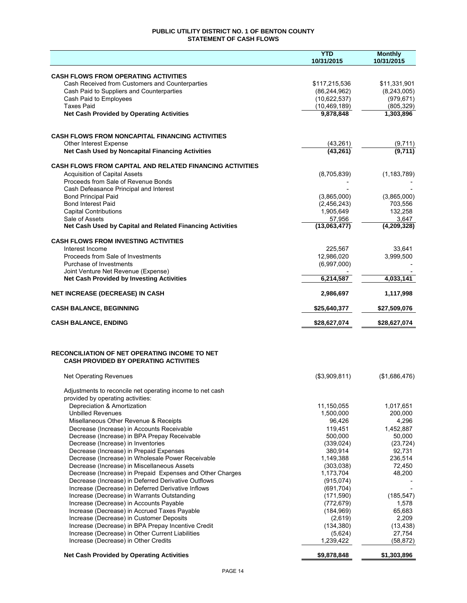## **PUBLIC UTILITY DISTRICT NO. 1 OF BENTON COUNTY STATEMENT OF CASH FLOWS**

|                                                                                                        | <b>YTD</b><br>10/31/2015       | <b>Monthly</b><br>10/31/2015 |
|--------------------------------------------------------------------------------------------------------|--------------------------------|------------------------------|
|                                                                                                        |                                |                              |
| <b>CASH FLOWS FROM OPERATING ACTIVITIES</b>                                                            |                                |                              |
| Cash Received from Customers and Counterparties                                                        | \$117,215,536                  | \$11,331,901                 |
| Cash Paid to Suppliers and Counterparties<br>Cash Paid to Employees                                    | (86, 244, 962)<br>(10,622,537) | (8, 243, 005)<br>(979, 671)  |
| <b>Taxes Paid</b>                                                                                      | (10, 469, 189)                 | (805, 329)                   |
| <b>Net Cash Provided by Operating Activities</b>                                                       | 9,878,848                      | 1,303,896                    |
|                                                                                                        |                                |                              |
| <b>CASH FLOWS FROM NONCAPITAL FINANCING ACTIVITIES</b>                                                 |                                |                              |
| Other Interest Expense                                                                                 | (43, 261)                      |                              |
| Net Cash Used by Noncapital Financing Activities                                                       | (43, 261)                      | $\frac{(9,711)}{(9,711)}$    |
| <b>CASH FLOWS FROM CAPITAL AND RELATED FINANCING ACTIVITIES</b>                                        |                                |                              |
| <b>Acquisition of Capital Assets</b>                                                                   | (8,705,839)                    | (1, 183, 789)                |
| Proceeds from Sale of Revenue Bonds                                                                    |                                |                              |
| Cash Defeasance Principal and Interest                                                                 |                                |                              |
| <b>Bond Principal Paid</b><br><b>Bond Interest Paid</b>                                                | (3,865,000)<br>(2,456,243)     | (3,865,000)                  |
| <b>Capital Contributions</b>                                                                           | 1,905,649                      | 703,556<br>132,258           |
| Sale of Assets                                                                                         | 57.956                         | 3,647                        |
| Net Cash Used by Capital and Related Financing Activities                                              | (13,063,477)                   | (4,209,328)                  |
| <b>CASH FLOWS FROM INVESTING ACTIVITIES</b>                                                            |                                |                              |
| Interest Income                                                                                        | 225,567                        | 33,641                       |
| Proceeds from Sale of Investments                                                                      | 12,986,020                     | 3,999,500                    |
| Purchase of Investments                                                                                | (6,997,000)                    |                              |
| Joint Venture Net Revenue (Expense)<br><b>Net Cash Provided by Investing Activities</b>                | 6,214,587                      | 4,033,141                    |
| NET INCREASE (DECREASE) IN CASH                                                                        | 2,986,697                      | 1,117,998                    |
| <b>CASH BALANCE, BEGINNING</b>                                                                         | \$25,640,377                   | \$27,509,076                 |
|                                                                                                        |                                |                              |
| <b>CASH BALANCE, ENDING</b>                                                                            | \$28,627,074                   | \$28,627,074                 |
|                                                                                                        |                                |                              |
| <b>RECONCILIATION OF NET OPERATING INCOME TO NET</b>                                                   |                                |                              |
| <b>CASH PROVIDED BY OPERATING ACTIVITIES</b>                                                           |                                |                              |
| <b>Net Operating Revenues</b>                                                                          | (\$3,909,811)                  | (\$1,686,476)                |
| Adjustments to reconcile net operating income to net cash                                              |                                |                              |
| provided by operating activities:                                                                      |                                |                              |
| Depreciation & Amortization                                                                            | 11,150,055                     | 1,017,651                    |
| <b>Unbilled Revenues</b>                                                                               | 1,500,000                      | 200,000                      |
| Misellaneous Other Revenue & Receipts                                                                  | 96,426                         | 4,296                        |
| Decrease (Increase) in Accounts Receivable<br>Decrease (Increase) in BPA Prepay Receivable             | 119,451<br>500,000             | 1,452,887<br>50,000          |
| Decrease (Increase) in Inventories                                                                     | (339, 024)                     | (23, 724)                    |
| Decrease (Increase) in Prepaid Expenses                                                                | 380,914                        | 92,731                       |
| Decrease (Increase) in Wholesale Power Receivable                                                      | 1,149,388                      | 236,514                      |
| Decrease (Increase) in Miscellaneous Assets                                                            | (303,038)                      | 72,450                       |
| Decrease (Increase) in Prepaid Expenses and Other Charges                                              | 1,173,704                      | 48,200                       |
| Decrease (Increase) in Deferred Derivative Outflows                                                    | (915,074)                      |                              |
| Increase (Decrease) in Deferred Derivative Inflows                                                     | (691, 704)                     |                              |
| Increase (Decrease) in Warrants Outstanding                                                            | (171, 590)                     | (185, 547)                   |
| Increase (Decrease) in Accounts Payable                                                                | (772, 679)                     | 1,578                        |
| Increase (Decrease) in Accrued Taxes Payable                                                           | (184, 969)                     | 65,683                       |
| Increase (Decrease) in Customer Deposits                                                               | (2,619)                        | 2,209                        |
| Increase (Decrease) in BPA Prepay Incentive Credit<br>Increase (Decrease) in Other Current Liabilities | (134, 380)<br>(5,624)          | (13, 438)<br>27,754          |
| Increase (Decrease) in Other Credits                                                                   | 1,239,422                      | (58, 872)                    |
| <b>Net Cash Provided by Operating Activities</b>                                                       | \$9,878,848                    | \$1,303,896                  |
|                                                                                                        |                                |                              |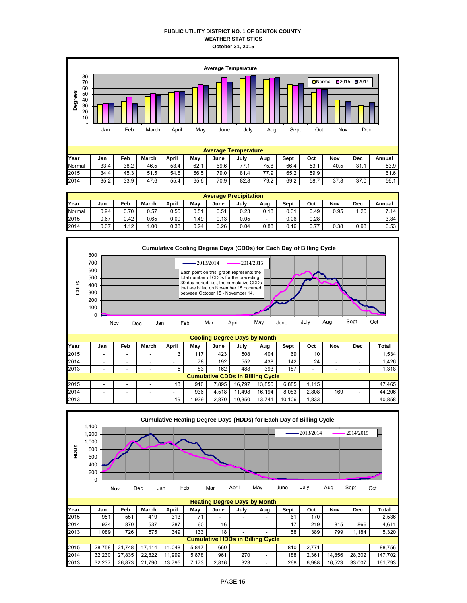#### **PUBLIC UTILITY DISTRICT NO. 1 OF BENTON COUNTY WEATHER STATISTICS October 31, 2015**



|        | <b>Average Precipitation</b> |      |         |       |      |      |      |      |             |      |      |      |        |  |  |
|--------|------------------------------|------|---------|-------|------|------|------|------|-------------|------|------|------|--------|--|--|
| Year   | Jan                          | Feb  | March   | April | May  | June | July | Aug  | <b>Sept</b> | Oct  | Nov  | Dec  | Annual |  |  |
| Normal | 0.94                         | 0.70 | 0.57    | 0.55  | 0.51 | 0.51 | 0.23 | 0.18 | 0.31        | 0.49 | 0.95 | 1.20 | 7.14   |  |  |
| 2015   | 0.67                         | 0.42 | 0.65    | 0.09  | . 49 | 0.13 | 0.05 | -    | 0.06        | 0.28 |      |      | 3.84   |  |  |
| 2014   | 0.37                         | 1.12 | $.00\,$ | 0.38  | 0.24 | 0.26 | 0.04 | 0.88 | 0.16        | 0.77 | 0.38 | 0.93 | 6.53   |  |  |



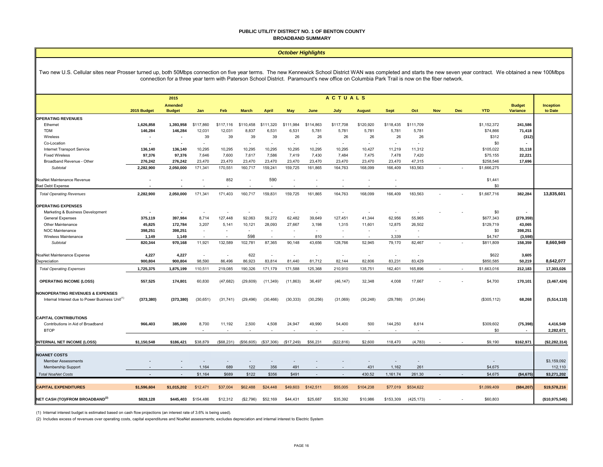#### **PUBLIC UTILITY DISTRICT NO. 1 OF BENTON COUNTY BROADBAND SUMMARY**

#### *October Highlights*

Two new U.S. Cellular sites near Prosser turned up, both 50Mbps connection on five year terms. The new Kennewick School District WAN was completed and starts the new seven year contract. We obtained a new 100Mbps connection for a three year term with Paterson School District. Paramount's new office on Columbia Park Trail is now on the fiber network.

|                                                             | <b>ACTUALS</b><br>2015 |                |           |                          |              |              |            |                |            |               |             |           |            |            |              |                          |                  |
|-------------------------------------------------------------|------------------------|----------------|-----------|--------------------------|--------------|--------------|------------|----------------|------------|---------------|-------------|-----------|------------|------------|--------------|--------------------------|------------------|
|                                                             |                        | <b>Amended</b> |           |                          |              |              |            |                |            |               |             |           |            |            |              | <b>Budget</b>            | <b>Inception</b> |
|                                                             | 2015 Budget            | <b>Budget</b>  | Jan       | Feb                      | <b>March</b> | <b>April</b> | May        | June           | July       | <b>August</b> | <b>Sept</b> | Oct       | <b>Nov</b> | <b>Dec</b> | <b>YTD</b>   | Variance                 | to Date          |
| <b>OPERATING REVENUES</b>                                   |                        |                |           |                          |              |              |            |                |            |               |             |           |            |            |              |                          |                  |
| Ethernet                                                    | 1,626,858              | 1,393,958      | \$117,860 | \$117,116                | \$110,458    | \$111,320    | \$111,984  | \$114,863      | \$117,708  | \$120,920     | \$118,435   | \$111,709 |            |            | \$1,152,372  | 241,586                  |                  |
| TDM                                                         | 146,284                | 146,284        | 12,031    | 12,031                   | 8,837        | 6,531        | 6,531      | 5,781          | 5,781      | 5,781         | 5,781       | 5,781     |            |            | \$74,866     | 71,418                   |                  |
| Wireless                                                    | $\blacksquare$         | $\sim$         | 39        | 39                       | 39           | 39           | 26         | 26             | 26         | 26            | 26          | 26        |            |            | \$312        | (312)                    |                  |
| Co-Location                                                 |                        |                | $\sim$    |                          | $\sim$       |              | $\sim$     | $\overline{a}$ | $\sim$     | $\sim$        | $\sim$      | $\sim$    |            |            | \$0          |                          |                  |
| Internet Transport Service                                  | 136,140                | 136,140        | 10,295    | 10,295                   | 10,295       | 10,295       | 10,295     | 10,295         | 10,295     | 10,427        | 11,219      | 11,312    |            |            | \$105,022    | 31,118                   |                  |
| <b>Fixed Wireless</b>                                       | 97,376                 | 97,376         | 7.646     | 7,600                    | 7,617        | 7,586        | 7,419      | 7.430          | 7,484      | 7,475         | 7,478       | 7,420     |            |            | \$75,155     | 22,221                   |                  |
| Broadband Revenue - Other                                   | 276,242                | 276,242        | 23,470    | 23,470                   | 23,470       | 23,470       | 23,470     | 23,470         | 23,470     | 23,470        | 23,470      | 47,315    |            |            | \$258,546    | 17,696                   |                  |
| Subtotal                                                    | 2,282,900              | 2,050,000      | 171,341   | 170,551                  | 160,717      | 159,241      | 159,725    | 161,865        | 164,763    | 168,099       | 166,409     | 183,563   |            |            | \$1,666,275  |                          |                  |
| NoaNet Maintenance Revenue                                  | $\blacksquare$         |                |           | 852                      |              | 590          | ÷.         |                |            |               | $\sim$      |           |            |            | \$1,441      |                          |                  |
| <b>Bad Debt Expense</b>                                     |                        |                |           |                          |              |              |            |                |            |               |             |           |            |            | \$0          |                          |                  |
| <b>Total Operating Revenues</b>                             | 2,282,900              | 2,050,000      | 171,341   | 171,403                  | 160,717      | 159,831      | 159,725    | 161,865        | 164,763    | 168,099       | 166,409     | 183,563   |            |            | \$1,667,716  | 382,284                  | 13,835,601       |
| <b>OPERATING EXPENSES</b>                                   |                        |                |           |                          |              |              |            |                |            |               |             |           |            |            |              |                          |                  |
| Marketing & Business Development                            | $\blacksquare$         |                |           |                          |              |              |            |                |            |               |             |           |            |            | \$0          |                          |                  |
| <b>General Expenses</b>                                     | 375,119                | 397,984        | 8.714     | 127,448                  | 92,063       | 59,272       | 62,482     | 39,649         | 127,451    | 41,344        | 62,956      | 55,965    |            |            | \$677,343    | (279, 359)               |                  |
| Other Maintenance                                           | 45,825                 | 172,784        | 3,207     | 5,141                    | 10,121       | 28,093       | 27,667     | 3,198          | 1,315      | 11,601        | 12,875      | 26,502    |            |            | \$129,719    | 43,065                   |                  |
| NOC Maintenance                                             | 398,251                | 398,251        | $\sim$    | $\overline{\phantom{a}}$ | ٠            | $\sim$       | $\sim$     | $\sim$         | $\sim$     | $\sim$        | $\sim$      | ÷.        |            |            | \$0          | 398,251                  |                  |
| Wireless Maintenance                                        | 1,149                  | 1,149          |           |                          | 598          | $\sim$       | $\sim$     | 810            | $\sim$     | $\sim$        | 3,339       | $\sim$    |            |            | \$4,747      | (3, 598)                 |                  |
| Subtotal                                                    | 820,344                | 970,168        | 11,921    | 132,589                  | 102,781      | 87,365       | 90,148     | 43,656         | 128,766    | 52,945        | 79,170      | 82,467    |            |            | \$811,809    | 158,359                  | 8,660,949        |
|                                                             |                        |                |           |                          |              |              |            |                |            |               |             |           |            |            |              |                          |                  |
| NoaNet Maintenance Expense                                  | 4,227                  | 4,227          |           | ÷,                       | 622          | $\sim$       | ÷,         |                | $\sim$     | $\sim$        | $\sim$      |           |            |            | \$622        | 3,605                    |                  |
| Depreciation                                                | 900,804                | 900,804        | 98,590    | 86.496                   | 86,923       | 83,814       | 81,440     | 81,712         | 82.144     | 82,806        | 83,231      | 83.429    |            |            | \$850,585    | 50,219                   | 8,642,077        |
| <b>Total Operating Expenses</b>                             | 1,725,375              | 1,875,199      | 110,511   | 219,085                  | 190,326      | 171,179      | 171,588    | 125,368        | 210,910    | 135,751       | 162,401     | 165,896   |            |            | \$1,663,016  | 212,183                  | 17,303,026       |
|                                                             |                        |                |           |                          |              |              |            |                |            |               |             |           |            |            |              |                          |                  |
| <b>OPERATING INCOME (LOSS)</b>                              | 557,525                | 174,801        | 60,830    | (47, 682)                | (29, 609)    | (11, 349)    | (11, 863)  | 36,497         | (46, 147)  | 32,348        | 4,008       | 17,667    |            |            | \$4,700      | 170,101                  | (3, 467, 424)    |
|                                                             |                        |                |           |                          |              |              |            |                |            |               |             |           |            |            |              |                          |                  |
| <b>NONOPERATING REVENUES &amp; EXPENSES</b>                 |                        |                |           |                          |              |              |            |                |            |               |             |           |            |            |              |                          |                  |
| Internal Interest due to Power Business Unit <sup>(1)</sup> | (373, 380)             | (373, 380)     | (30, 651) | (31, 741)                | (29, 496)    | (30, 466)    | (30, 333)  | (30, 256)      | (31,069)   | (30, 248)     | (29, 788)   | (31,064)  |            |            | (\$305, 112) | 68,268                   | (5,514,110)      |
|                                                             |                        |                |           |                          |              |              |            |                |            |               |             |           |            |            |              |                          |                  |
| <b>CAPITAL CONTRIBUTIONS</b>                                |                        |                |           |                          |              |              |            |                |            |               |             |           |            |            |              |                          |                  |
| Contributions in Aid of Broadband                           | 966,403                | 385,000        | 8,700     | 11,192                   | 2,500        | 4,508        | 24,947     | 49,990         | 54,400     | 500           | 144,250     | 8,614     |            |            | \$309,602    | (75, 398)                | 4,416,549        |
| <b>BTOP</b>                                                 |                        |                |           |                          |              |              |            |                |            |               |             |           |            |            |              |                          |                  |
|                                                             |                        |                |           |                          |              |              |            | $\sim$         | $\sim$     | $\sim$        | $\sim$      | $\sim$    |            |            | \$0          | $\overline{\phantom{a}}$ | 2,282,671        |
|                                                             |                        |                |           |                          |              |              |            |                |            |               |             |           |            |            |              |                          |                  |
| <b>INTERNAL NET INCOME (LOSS)</b>                           | \$1,150,548            | \$186,421      | \$38,879  | (\$68,231)               | (\$56,605)   | (\$37,306)   | (\$17,249) | \$56,231       | (\$22,816) | \$2,600       | 118,470     | (4,783)   |            |            | \$9,190      | \$162,971                | (\$2,282,314)    |
| <b>NOANET COSTS</b>                                         |                        |                |           |                          |              |              |            |                |            |               |             |           |            |            |              |                          |                  |
| <b>Member Assessments</b>                                   |                        |                |           |                          |              |              |            |                |            |               |             |           |            |            |              |                          | \$3,159,092      |
| Membership Support                                          |                        |                | 1,164     | 689                      | 122          | 356          | 491        |                |            | 431           | 1,162       | 261       |            |            | \$4,675      |                          | 112,110          |
|                                                             |                        |                | \$1,164   |                          |              |              | \$491      |                |            |               |             |           |            |            |              |                          |                  |
| <b>Total NoaNet Costs</b>                                   |                        |                |           | \$689                    | \$122        | \$356        |            |                |            | 430.52        | 1,161.74    | 261.30    |            |            | \$4,675      | (\$4,675)                | \$3,271,202      |
| <b>CAPITAL EXPENDITURES</b>                                 | \$1,596,604            | \$1,015,202    | \$12,471  | \$37,004                 | \$62,488     | \$24,448     | \$49,603   | \$142,511      | \$55,005   | \$104,238     | \$77,019    | \$534.622 |            |            | \$1,099.409  | (\$84,207)               | \$19,578.216     |

(1) Internal interest budget is estimated based on cash flow projections (an interest rate of 3.6% is being used).

(2) Includes excess of revenues over operating costs, capital expenditures and NoaNet assessments; excludes depreciation and internal interest to Electric System